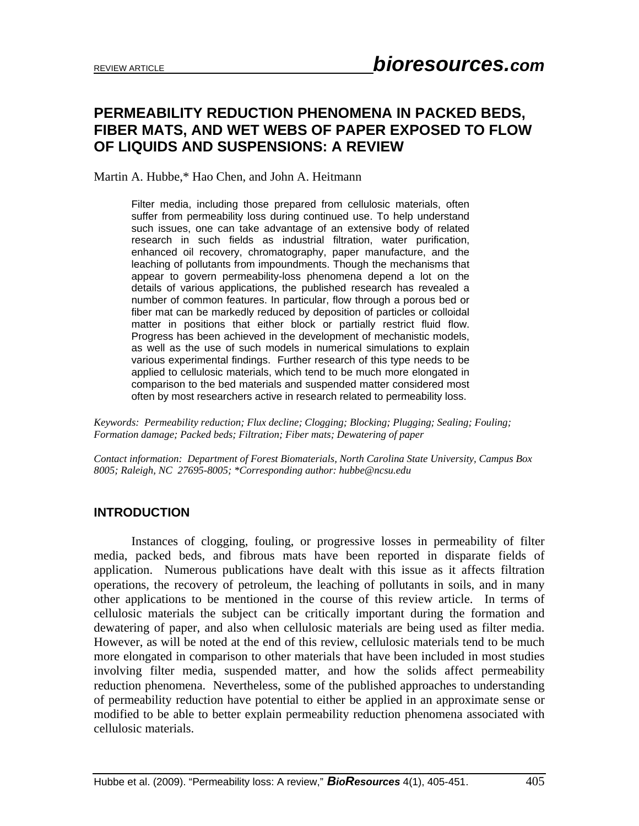# **PERMEABILITY REDUCTION PHENOMENA IN PACKED BEDS, FIBER MATS, AND WET WEBS OF PAPER EXPOSED TO FLOW OF LIQUIDS AND SUSPENSIONS: A REVIEW**

Martin A. Hubbe,\* Hao Chen, and John A. Heitmann

Filter media, including those prepared from cellulosic materials, often suffer from permeability loss during continued use. To help understand such issues, one can take advantage of an extensive body of related research in such fields as industrial filtration, water purification, enhanced oil recovery, chromatography, paper manufacture, and the leaching of pollutants from impoundments. Though the mechanisms that appear to govern permeability-loss phenomena depend a lot on the details of various applications, the published research has revealed a number of common features. In particular, flow through a porous bed or fiber mat can be markedly reduced by deposition of particles or colloidal matter in positions that either block or partially restrict fluid flow. Progress has been achieved in the development of mechanistic models, as well as the use of such models in numerical simulations to explain various experimental findings. Further research of this type needs to be applied to cellulosic materials, which tend to be much more elongated in comparison to the bed materials and suspended matter considered most often by most researchers active in research related to permeability loss.

*Keywords: Permeability reduction; Flux decline; Clogging; Blocking; Plugging; Sealing; Fouling; Formation damage; Packed beds; Filtration; Fiber mats; Dewatering of paper* 

*Contact information: Department of Forest Biomaterials, North Carolina State University, Campus Box 8005; Raleigh, NC 27695-8005; \*Corresponding author: hubbe@ncsu.edu* 

# **INTRODUCTION**

 Instances of clogging, fouling, or progressive losses in permeability of filter media, packed beds, and fibrous mats have been reported in disparate fields of application. Numerous publications have dealt with this issue as it affects filtration operations, the recovery of petroleum, the leaching of pollutants in soils, and in many other applications to be mentioned in the course of this review article. In terms of cellulosic materials the subject can be critically important during the formation and dewatering of paper, and also when cellulosic materials are being used as filter media. However, as will be noted at the end of this review, cellulosic materials tend to be much more elongated in comparison to other materials that have been included in most studies involving filter media, suspended matter, and how the solids affect permeability reduction phenomena. Nevertheless, some of the published approaches to understanding of permeability reduction have potential to either be applied in an approximate sense or modified to be able to better explain permeability reduction phenomena associated with cellulosic materials.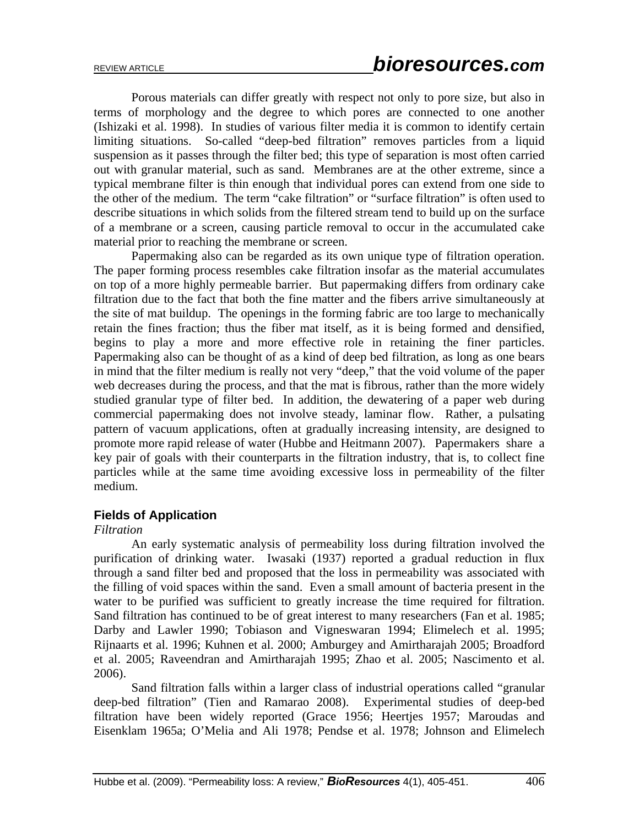Porous materials can differ greatly with respect not only to pore size, but also in terms of morphology and the degree to which pores are connected to one another (Ishizaki et al. 1998). In studies of various filter media it is common to identify certain limiting situations. So-called "deep-bed filtration" removes particles from a liquid suspension as it passes through the filter bed; this type of separation is most often carried out with granular material, such as sand. Membranes are at the other extreme, since a typical membrane filter is thin enough that individual pores can extend from one side to the other of the medium. The term "cake filtration" or "surface filtration" is often used to describe situations in which solids from the filtered stream tend to build up on the surface of a membrane or a screen, causing particle removal to occur in the accumulated cake material prior to reaching the membrane or screen.

 Papermaking also can be regarded as its own unique type of filtration operation. The paper forming process resembles cake filtration insofar as the material accumulates on top of a more highly permeable barrier. But papermaking differs from ordinary cake filtration due to the fact that both the fine matter and the fibers arrive simultaneously at the site of mat buildup. The openings in the forming fabric are too large to mechanically retain the fines fraction; thus the fiber mat itself, as it is being formed and densified, begins to play a more and more effective role in retaining the finer particles. Papermaking also can be thought of as a kind of deep bed filtration, as long as one bears in mind that the filter medium is really not very "deep," that the void volume of the paper web decreases during the process, and that the mat is fibrous, rather than the more widely studied granular type of filter bed. In addition, the dewatering of a paper web during commercial papermaking does not involve steady, laminar flow. Rather, a pulsating pattern of vacuum applications, often at gradually increasing intensity, are designed to promote more rapid release of water (Hubbe and Heitmann 2007). Papermakers share a key pair of goals with their counterparts in the filtration industry, that is, to collect fine particles while at the same time avoiding excessive loss in permeability of the filter medium.

# **Fields of Application**

# *Filtration*

 An early systematic analysis of permeability loss during filtration involved the purification of drinking water. Iwasaki (1937) reported a gradual reduction in flux through a sand filter bed and proposed that the loss in permeability was associated with the filling of void spaces within the sand. Even a small amount of bacteria present in the water to be purified was sufficient to greatly increase the time required for filtration. Sand filtration has continued to be of great interest to many researchers (Fan et al. 1985; Darby and Lawler 1990; Tobiason and Vigneswaran 1994; Elimelech et al. 1995; Rijnaarts et al. 1996; Kuhnen et al. 2000; Amburgey and Amirtharajah 2005; Broadford et al. 2005; Raveendran and Amirtharajah 1995; Zhao et al. 2005; Nascimento et al. 2006).

 Sand filtration falls within a larger class of industrial operations called "granular deep-bed filtration" (Tien and Ramarao 2008). Experimental studies of deep-bed filtration have been widely reported (Grace 1956; Heertjes 1957; Maroudas and Eisenklam 1965a; O'Melia and Ali 1978; Pendse et al. 1978; Johnson and Elimelech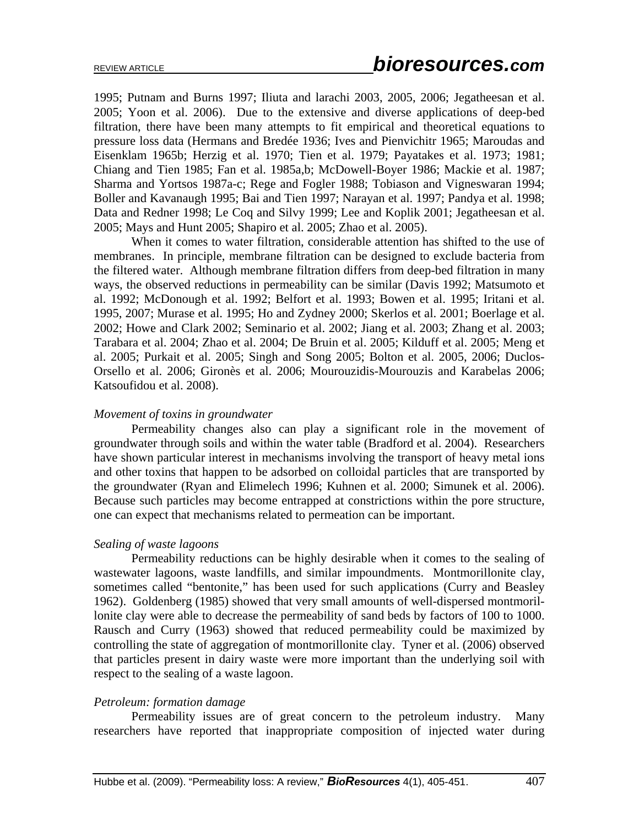1995; Putnam and Burns 1997; Iliuta and larachi 2003, 2005, 2006; Jegatheesan et al. 2005; Yoon et al. 2006). Due to the extensive and diverse applications of deep-bed filtration, there have been many attempts to fit empirical and theoretical equations to pressure loss data (Hermans and Bredée 1936; Ives and Pienvichitr 1965; Maroudas and Eisenklam 1965b; Herzig et al. 1970; Tien et al. 1979; Payatakes et al. 1973; 1981; Chiang and Tien 1985; Fan et al. 1985a,b; McDowell-Boyer 1986; Mackie et al. 1987; Sharma and Yortsos 1987a-c; Rege and Fogler 1988; Tobiason and Vigneswaran 1994; Boller and Kavanaugh 1995; Bai and Tien 1997; Narayan et al. 1997; Pandya et al. 1998; Data and Redner 1998; Le Coq and Silvy 1999; Lee and Koplik 2001; Jegatheesan et al. 2005; Mays and Hunt 2005; Shapiro et al. 2005; Zhao et al. 2005).

 When it comes to water filtration, considerable attention has shifted to the use of membranes. In principle, membrane filtration can be designed to exclude bacteria from the filtered water. Although membrane filtration differs from deep-bed filtration in many ways, the observed reductions in permeability can be similar (Davis 1992; Matsumoto et al. 1992; McDonough et al. 1992; Belfort et al. 1993; Bowen et al. 1995; Iritani et al. 1995, 2007; Murase et al. 1995; Ho and Zydney 2000; Skerlos et al. 2001; Boerlage et al. 2002; Howe and Clark 2002; Seminario et al. 2002; Jiang et al. 2003; Zhang et al. 2003; Tarabara et al. 2004; Zhao et al. 2004; De Bruin et al. 2005; Kilduff et al. 2005; Meng et al. 2005; Purkait et al. 2005; Singh and Song 2005; Bolton et al. 2005, 2006; Duclos-Orsello et al. 2006; Gironès et al. 2006; Mourouzidis-Mourouzis and Karabelas 2006; Katsoufidou et al. 2008).

#### *Movement of toxins in groundwater*

 Permeability changes also can play a significant role in the movement of groundwater through soils and within the water table (Bradford et al. 2004). Researchers have shown particular interest in mechanisms involving the transport of heavy metal ions and other toxins that happen to be adsorbed on colloidal particles that are transported by the groundwater (Ryan and Elimelech 1996; Kuhnen et al. 2000; Simunek et al. 2006). Because such particles may become entrapped at constrictions within the pore structure, one can expect that mechanisms related to permeation can be important.

#### *Sealing of waste lagoons*

 Permeability reductions can be highly desirable when it comes to the sealing of wastewater lagoons, waste landfills, and similar impoundments. Montmorillonite clay, sometimes called "bentonite," has been used for such applications (Curry and Beasley 1962). Goldenberg (1985) showed that very small amounts of well-dispersed montmorillonite clay were able to decrease the permeability of sand beds by factors of 100 to 1000. Rausch and Curry (1963) showed that reduced permeability could be maximized by controlling the state of aggregation of montmorillonite clay. Tyner et al. (2006) observed that particles present in dairy waste were more important than the underlying soil with respect to the sealing of a waste lagoon.

#### *Petroleum: formation damage*

 Permeability issues are of great concern to the petroleum industry. Many researchers have reported that inappropriate composition of injected water during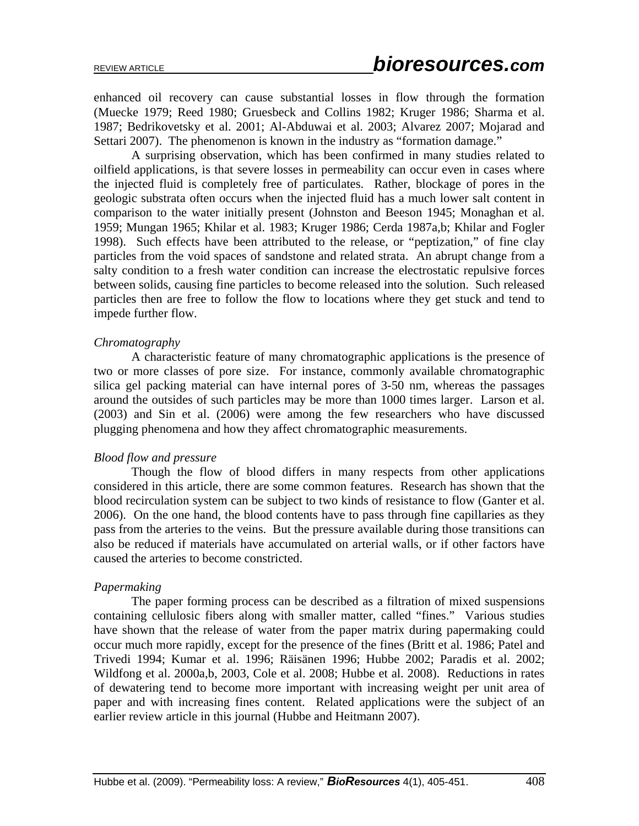enhanced oil recovery can cause substantial losses in flow through the formation (Muecke 1979; Reed 1980; Gruesbeck and Collins 1982; Kruger 1986; Sharma et al. 1987; Bedrikovetsky et al. 2001; Al-Abduwai et al. 2003; Alvarez 2007; Mojarad and Settari 2007). The phenomenon is known in the industry as "formation damage."

 A surprising observation, which has been confirmed in many studies related to oilfield applications, is that severe losses in permeability can occur even in cases where the injected fluid is completely free of particulates. Rather, blockage of pores in the geologic substrata often occurs when the injected fluid has a much lower salt content in comparison to the water initially present (Johnston and Beeson 1945; Monaghan et al. 1959; Mungan 1965; Khilar et al. 1983; Kruger 1986; Cerda 1987a,b; Khilar and Fogler 1998). Such effects have been attributed to the release, or "peptization," of fine clay particles from the void spaces of sandstone and related strata. An abrupt change from a salty condition to a fresh water condition can increase the electrostatic repulsive forces between solids, causing fine particles to become released into the solution. Such released particles then are free to follow the flow to locations where they get stuck and tend to impede further flow.

#### *Chromatography*

 A characteristic feature of many chromatographic applications is the presence of two or more classes of pore size. For instance, commonly available chromatographic silica gel packing material can have internal pores of 3-50 nm, whereas the passages around the outsides of such particles may be more than 1000 times larger. Larson et al. (2003) and Sin et al. (2006) were among the few researchers who have discussed plugging phenomena and how they affect chromatographic measurements.

#### *Blood flow and pressure*

 Though the flow of blood differs in many respects from other applications considered in this article, there are some common features. Research has shown that the blood recirculation system can be subject to two kinds of resistance to flow (Ganter et al. 2006). On the one hand, the blood contents have to pass through fine capillaries as they pass from the arteries to the veins. But the pressure available during those transitions can also be reduced if materials have accumulated on arterial walls, or if other factors have caused the arteries to become constricted.

#### *Papermaking*

 The paper forming process can be described as a filtration of mixed suspensions containing cellulosic fibers along with smaller matter, called "fines." Various studies have shown that the release of water from the paper matrix during papermaking could occur much more rapidly, except for the presence of the fines (Britt et al. 1986; Patel and Trivedi 1994; Kumar et al. 1996; Räisänen 1996; Hubbe 2002; Paradis et al. 2002; Wildfong et al. 2000a,b, 2003, Cole et al. 2008; Hubbe et al. 2008). Reductions in rates of dewatering tend to become more important with increasing weight per unit area of paper and with increasing fines content. Related applications were the subject of an earlier review article in this journal (Hubbe and Heitmann 2007).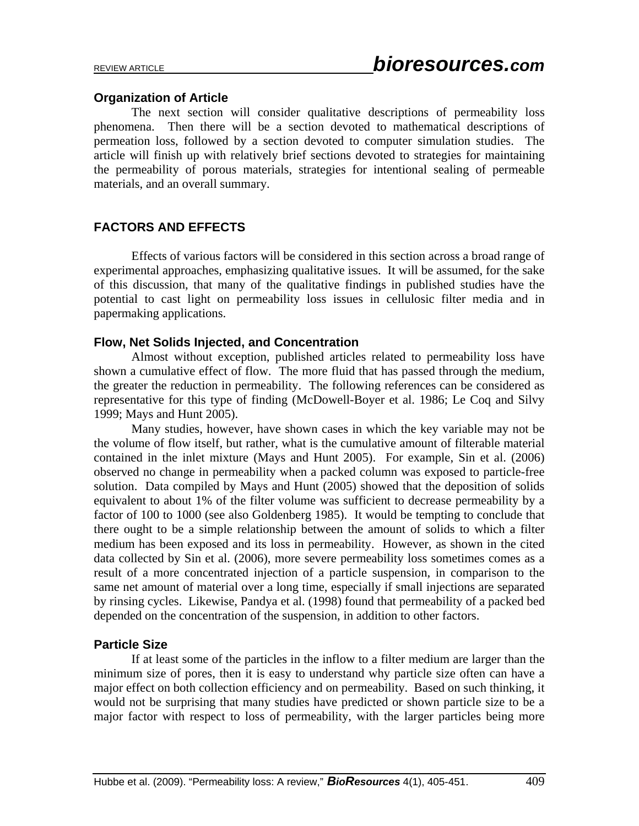# **Organization of Article**

 The next section will consider qualitative descriptions of permeability loss phenomena. Then there will be a section devoted to mathematical descriptions of permeation loss, followed by a section devoted to computer simulation studies. The article will finish up with relatively brief sections devoted to strategies for maintaining the permeability of porous materials, strategies for intentional sealing of permeable materials, and an overall summary.

# **FACTORS AND EFFECTS**

 Effects of various factors will be considered in this section across a broad range of experimental approaches, emphasizing qualitative issues. It will be assumed, for the sake of this discussion, that many of the qualitative findings in published studies have the potential to cast light on permeability loss issues in cellulosic filter media and in papermaking applications.

# **Flow, Net Solids Injected, and Concentration**

 Almost without exception, published articles related to permeability loss have shown a cumulative effect of flow. The more fluid that has passed through the medium, the greater the reduction in permeability. The following references can be considered as representative for this type of finding (McDowell-Boyer et al. 1986; Le Coq and Silvy 1999; Mays and Hunt 2005).

 Many studies, however, have shown cases in which the key variable may not be the volume of flow itself, but rather, what is the cumulative amount of filterable material contained in the inlet mixture (Mays and Hunt 2005). For example, Sin et al. (2006) observed no change in permeability when a packed column was exposed to particle-free solution. Data compiled by Mays and Hunt (2005) showed that the deposition of solids equivalent to about 1% of the filter volume was sufficient to decrease permeability by a factor of 100 to 1000 (see also Goldenberg 1985). It would be tempting to conclude that there ought to be a simple relationship between the amount of solids to which a filter medium has been exposed and its loss in permeability. However, as shown in the cited data collected by Sin et al. (2006), more severe permeability loss sometimes comes as a result of a more concentrated injection of a particle suspension, in comparison to the same net amount of material over a long time, especially if small injections are separated by rinsing cycles. Likewise, Pandya et al. (1998) found that permeability of a packed bed depended on the concentration of the suspension, in addition to other factors.

# **Particle Size**

 If at least some of the particles in the inflow to a filter medium are larger than the minimum size of pores, then it is easy to understand why particle size often can have a major effect on both collection efficiency and on permeability. Based on such thinking, it would not be surprising that many studies have predicted or shown particle size to be a major factor with respect to loss of permeability, with the larger particles being more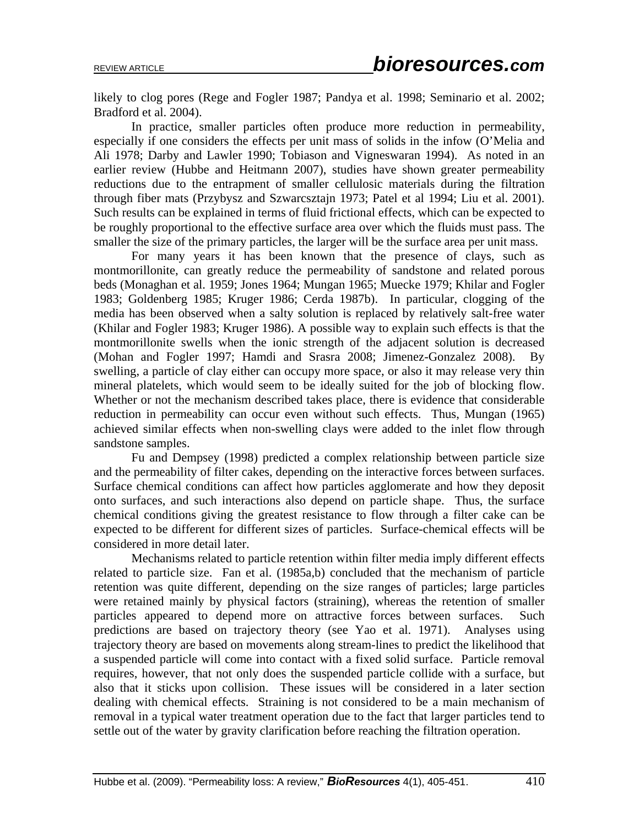likely to clog pores (Rege and Fogler 1987; Pandya et al. 1998; Seminario et al. 2002; Bradford et al. 2004).

 In practice, smaller particles often produce more reduction in permeability, especially if one considers the effects per unit mass of solids in the infow (O'Melia and Ali 1978; Darby and Lawler 1990; Tobiason and Vigneswaran 1994). As noted in an earlier review (Hubbe and Heitmann 2007), studies have shown greater permeability reductions due to the entrapment of smaller cellulosic materials during the filtration through fiber mats (Przybysz and Szwarcsztajn 1973; Patel et al 1994; Liu et al. 2001). Such results can be explained in terms of fluid frictional effects, which can be expected to be roughly proportional to the effective surface area over which the fluids must pass. The smaller the size of the primary particles, the larger will be the surface area per unit mass.

 For many years it has been known that the presence of clays, such as montmorillonite, can greatly reduce the permeability of sandstone and related porous beds (Monaghan et al. 1959; Jones 1964; Mungan 1965; Muecke 1979; Khilar and Fogler 1983; Goldenberg 1985; Kruger 1986; Cerda 1987b). In particular, clogging of the media has been observed when a salty solution is replaced by relatively salt-free water (Khilar and Fogler 1983; Kruger 1986). A possible way to explain such effects is that the montmorillonite swells when the ionic strength of the adjacent solution is decreased (Mohan and Fogler 1997; Hamdi and Srasra 2008; Jimenez-Gonzalez 2008). By swelling, a particle of clay either can occupy more space, or also it may release very thin mineral platelets, which would seem to be ideally suited for the job of blocking flow. Whether or not the mechanism described takes place, there is evidence that considerable reduction in permeability can occur even without such effects. Thus, Mungan (1965) achieved similar effects when non-swelling clays were added to the inlet flow through sandstone samples.

 Fu and Dempsey (1998) predicted a complex relationship between particle size and the permeability of filter cakes, depending on the interactive forces between surfaces. Surface chemical conditions can affect how particles agglomerate and how they deposit onto surfaces, and such interactions also depend on particle shape. Thus, the surface chemical conditions giving the greatest resistance to flow through a filter cake can be expected to be different for different sizes of particles. Surface-chemical effects will be considered in more detail later.

 Mechanisms related to particle retention within filter media imply different effects related to particle size. Fan et al. (1985a,b) concluded that the mechanism of particle retention was quite different, depending on the size ranges of particles; large particles were retained mainly by physical factors (straining), whereas the retention of smaller particles appeared to depend more on attractive forces between surfaces. Such predictions are based on trajectory theory (see Yao et al. 1971). Analyses using trajectory theory are based on movements along stream-lines to predict the likelihood that a suspended particle will come into contact with a fixed solid surface. Particle removal requires, however, that not only does the suspended particle collide with a surface, but also that it sticks upon collision. These issues will be considered in a later section dealing with chemical effects. Straining is not considered to be a main mechanism of removal in a typical water treatment operation due to the fact that larger particles tend to settle out of the water by gravity clarification before reaching the filtration operation.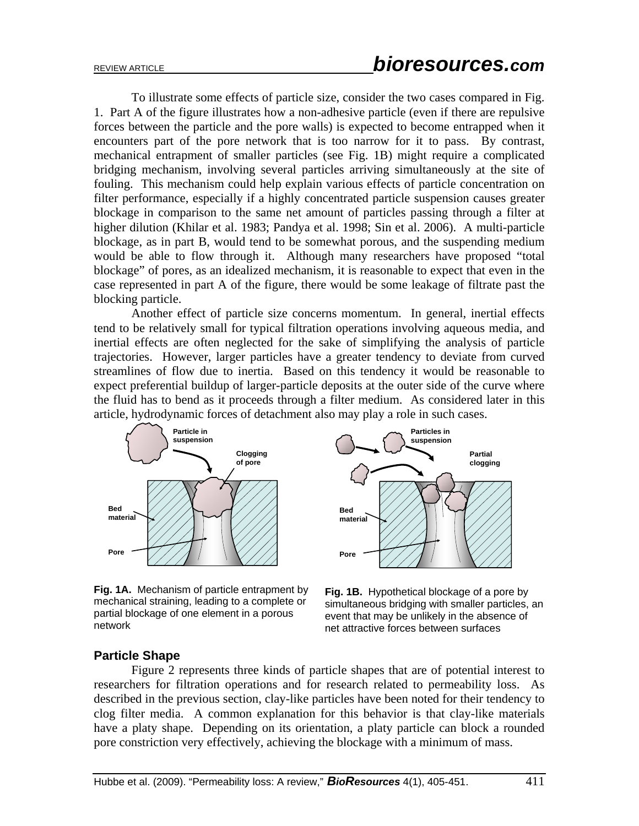To illustrate some effects of particle size, consider the two cases compared in Fig. 1. Part A of the figure illustrates how a non-adhesive particle (even if there are repulsive forces between the particle and the pore walls) is expected to become entrapped when it encounters part of the pore network that is too narrow for it to pass. By contrast, mechanical entrapment of smaller particles (see Fig. 1B) might require a complicated bridging mechanism, involving several particles arriving simultaneously at the site of fouling. This mechanism could help explain various effects of particle concentration on filter performance, especially if a highly concentrated particle suspension causes greater blockage in comparison to the same net amount of particles passing through a filter at higher dilution (Khilar et al. 1983; Pandya et al. 1998; Sin et al. 2006). A multi-particle blockage, as in part B, would tend to be somewhat porous, and the suspending medium would be able to flow through it. Although many researchers have proposed "total blockage" of pores, as an idealized mechanism, it is reasonable to expect that even in the case represented in part A of the figure, there would be some leakage of filtrate past the blocking particle.

Another effect of particle size concerns momentum. In general, inertial effects tend to be relatively small for typical filtration operations involving aqueous media, and inertial effects are often neglected for the sake of simplifying the analysis of particle trajectories. However, larger particles have a greater tendency to deviate from curved streamlines of flow due to inertia. Based on this tendency it would be reasonable to expect preferential buildup of larger-particle deposits at the outer side of the curve where the fluid has to bend as it proceeds through a filter medium. As considered later in this article, hydrodynamic forces of detachment also may play a role in such cases.



**Fig. 1A.** Mechanism of particle entrapment by mechanical straining, leading to a complete or partial blockage of one element in a porous network



**Fig. 1B.** Hypothetical blockage of a pore by simultaneous bridging with smaller particles, an event that may be unlikely in the absence of net attractive forces between surfaces

# **Particle Shape**

 Figure 2 represents three kinds of particle shapes that are of potential interest to researchers for filtration operations and for research related to permeability loss. As described in the previous section, clay-like particles have been noted for their tendency to clog filter media. A common explanation for this behavior is that clay-like materials have a platy shape. Depending on its orientation, a platy particle can block a rounded pore constriction very effectively, achieving the blockage with a minimum of mass.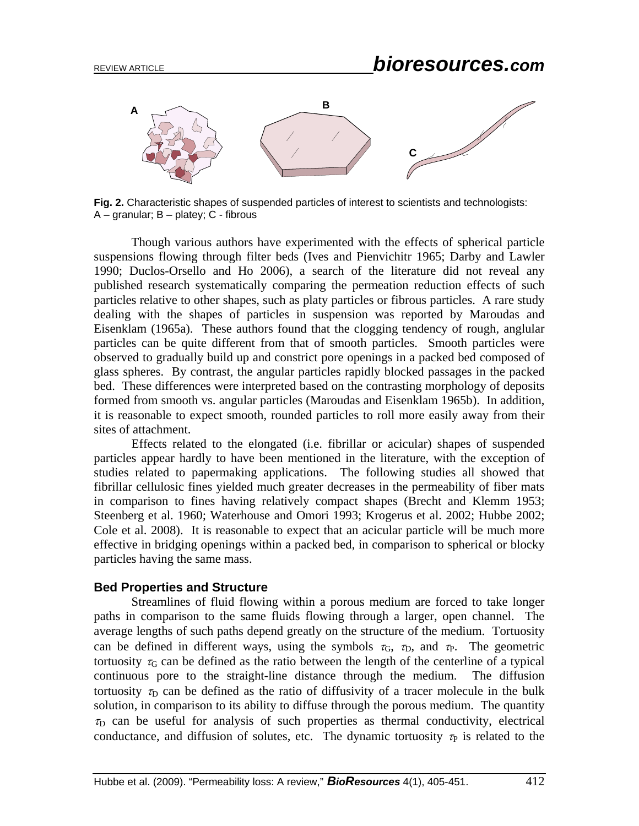

**Fig. 2.** Characteristic shapes of suspended particles of interest to scientists and technologists: A – granular; B – platey; C - fibrous

 Though various authors have experimented with the effects of spherical particle suspensions flowing through filter beds (Ives and Pienvichitr 1965; Darby and Lawler 1990; Duclos-Orsello and Ho 2006), a search of the literature did not reveal any published research systematically comparing the permeation reduction effects of such particles relative to other shapes, such as platy particles or fibrous particles. A rare study dealing with the shapes of particles in suspension was reported by Maroudas and Eisenklam (1965a). These authors found that the clogging tendency of rough, anglular particles can be quite different from that of smooth particles. Smooth particles were observed to gradually build up and constrict pore openings in a packed bed composed of glass spheres. By contrast, the angular particles rapidly blocked passages in the packed bed. These differences were interpreted based on the contrasting morphology of deposits formed from smooth vs. angular particles (Maroudas and Eisenklam 1965b). In addition, it is reasonable to expect smooth, rounded particles to roll more easily away from their sites of attachment.

 Effects related to the elongated (i.e. fibrillar or acicular) shapes of suspended particles appear hardly to have been mentioned in the literature, with the exception of studies related to papermaking applications. The following studies all showed that fibrillar cellulosic fines yielded much greater decreases in the permeability of fiber mats in comparison to fines having relatively compact shapes (Brecht and Klemm 1953; Steenberg et al. 1960; Waterhouse and Omori 1993; Krogerus et al. 2002; Hubbe 2002; Cole et al. 2008). It is reasonable to expect that an acicular particle will be much more effective in bridging openings within a packed bed, in comparison to spherical or blocky particles having the same mass.

#### **Bed Properties and Structure**

Streamlines of fluid flowing within a porous medium are forced to take longer paths in comparison to the same fluids flowing through a larger, open channel. The average lengths of such paths depend greatly on the structure of the medium. Tortuosity can be defined in different ways, using the symbols  $\tau_{\text{G}}$ ,  $\tau_{\text{D}}$ , and  $\tau_{\text{P}}$ . The geometric tortuosity  $\tau_{\rm G}$  can be defined as the ratio between the length of the centerline of a typical continuous pore to the straight-line distance through the medium. The diffusion tortuosity  $\tau_D$  can be defined as the ratio of diffusivity of a tracer molecule in the bulk solution, in comparison to its ability to diffuse through the porous medium. The quantity  $\tau_D$  can be useful for analysis of such properties as thermal conductivity, electrical conductance, and diffusion of solutes, etc. The dynamic tortuosity  $\tau_{\rm P}$  is related to the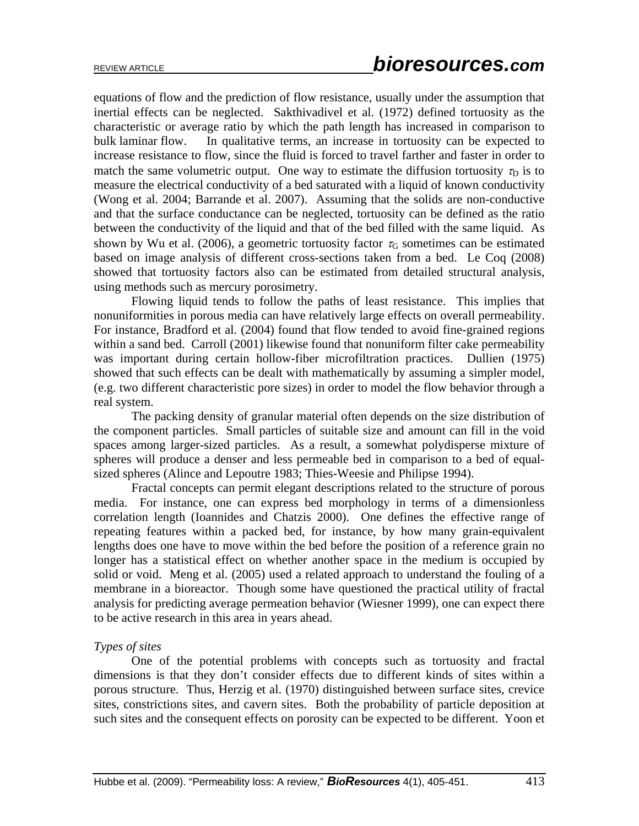equations of flow and the prediction of flow resistance, usually under the assumption that inertial effects can be neglected. Sakthivadivel et al. (1972) defined tortuosity as the characteristic or average ratio by which the path length has increased in comparison to bulk laminar flow. In qualitative terms, an increase in tortuosity can be expected to increase resistance to flow, since the fluid is forced to travel farther and faster in order to match the same volumetric output. One way to estimate the diffusion tortuosity  $\tau_D$  is to measure the electrical conductivity of a bed saturated with a liquid of known conductivity (Wong et al. 2004; Barrande et al. 2007). Assuming that the solids are non-conductive and that the surface conductance can be neglected, tortuosity can be defined as the ratio between the conductivity of the liquid and that of the bed filled with the same liquid. As shown by Wu et al. (2006), a geometric tortuosity factor  $\tau$ <sup>G</sup> sometimes can be estimated based on image analysis of different cross-sections taken from a bed. Le Coq (2008) showed that tortuosity factors also can be estimated from detailed structural analysis, using methods such as mercury porosimetry.

Flowing liquid tends to follow the paths of least resistance. This implies that nonuniformities in porous media can have relatively large effects on overall permeability. For instance, Bradford et al. (2004) found that flow tended to avoid fine-grained regions within a sand bed. Carroll (2001) likewise found that nonuniform filter cake permeability was important during certain hollow-fiber microfiltration practices. Dullien (1975) showed that such effects can be dealt with mathematically by assuming a simpler model, (e.g. two different characteristic pore sizes) in order to model the flow behavior through a real system.

The packing density of granular material often depends on the size distribution of the component particles. Small particles of suitable size and amount can fill in the void spaces among larger-sized particles. As a result, a somewhat polydisperse mixture of spheres will produce a denser and less permeable bed in comparison to a bed of equalsized spheres (Alince and Lepoutre 1983; Thies-Weesie and Philipse 1994).

Fractal concepts can permit elegant descriptions related to the structure of porous media. For instance, one can express bed morphology in terms of a dimensionless correlation length (Ioannides and Chatzis 2000). One defines the effective range of repeating features within a packed bed, for instance, by how many grain-equivalent lengths does one have to move within the bed before the position of a reference grain no longer has a statistical effect on whether another space in the medium is occupied by solid or void. Meng et al. (2005) used a related approach to understand the fouling of a membrane in a bioreactor. Though some have questioned the practical utility of fractal analysis for predicting average permeation behavior (Wiesner 1999), one can expect there to be active research in this area in years ahead.

# *Types of sites*

 One of the potential problems with concepts such as tortuosity and fractal dimensions is that they don't consider effects due to different kinds of sites within a porous structure. Thus, Herzig et al. (1970) distinguished between surface sites, crevice sites, constrictions sites, and cavern sites. Both the probability of particle deposition at such sites and the consequent effects on porosity can be expected to be different. Yoon et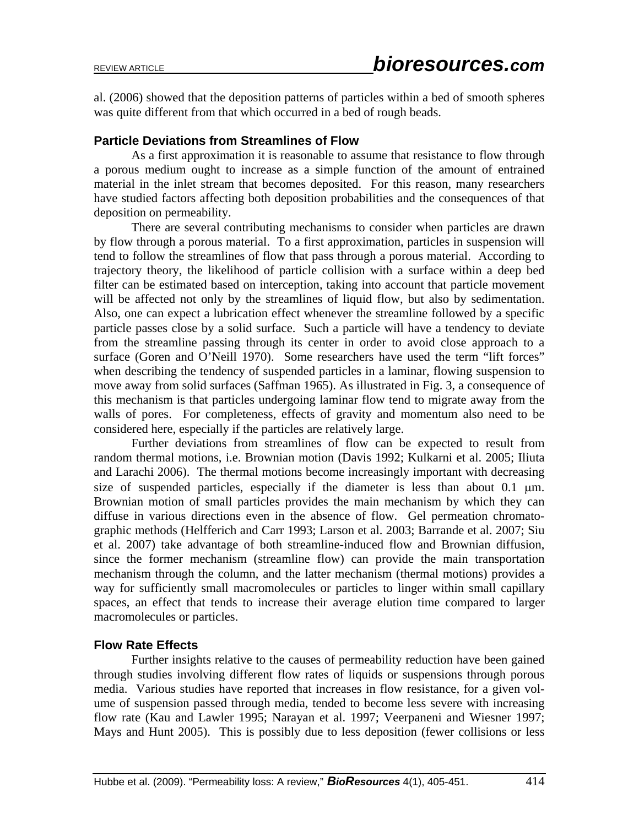al. (2006) showed that the deposition patterns of particles within a bed of smooth spheres was quite different from that which occurred in a bed of rough beads.

# **Particle Deviations from Streamlines of Flow**

 As a first approximation it is reasonable to assume that resistance to flow through a porous medium ought to increase as a simple function of the amount of entrained material in the inlet stream that becomes deposited. For this reason, many researchers have studied factors affecting both deposition probabilities and the consequences of that deposition on permeability.

 There are several contributing mechanisms to consider when particles are drawn by flow through a porous material. To a first approximation, particles in suspension will tend to follow the streamlines of flow that pass through a porous material. According to trajectory theory, the likelihood of particle collision with a surface within a deep bed filter can be estimated based on interception, taking into account that particle movement will be affected not only by the streamlines of liquid flow, but also by sedimentation. Also, one can expect a lubrication effect whenever the streamline followed by a specific particle passes close by a solid surface. Such a particle will have a tendency to deviate from the streamline passing through its center in order to avoid close approach to a surface (Goren and O'Neill 1970). Some researchers have used the term "lift forces" when describing the tendency of suspended particles in a laminar, flowing suspension to move away from solid surfaces (Saffman 1965). As illustrated in Fig. 3, a consequence of this mechanism is that particles undergoing laminar flow tend to migrate away from the walls of pores. For completeness, effects of gravity and momentum also need to be considered here, especially if the particles are relatively large.

Further deviations from streamlines of flow can be expected to result from random thermal motions, i.e. Brownian motion (Davis 1992; Kulkarni et al. 2005; Iliuta and Larachi 2006). The thermal motions become increasingly important with decreasing size of suspended particles, especially if the diameter is less than about 0.1  $\mu$ m. Brownian motion of small particles provides the main mechanism by which they can diffuse in various directions even in the absence of flow. Gel permeation chromatographic methods (Helfferich and Carr 1993; Larson et al. 2003; Barrande et al. 2007; Siu et al. 2007) take advantage of both streamline-induced flow and Brownian diffusion, since the former mechanism (streamline flow) can provide the main transportation mechanism through the column, and the latter mechanism (thermal motions) provides a way for sufficiently small macromolecules or particles to linger within small capillary spaces, an effect that tends to increase their average elution time compared to larger macromolecules or particles.

# **Flow Rate Effects**

Further insights relative to the causes of permeability reduction have been gained through studies involving different flow rates of liquids or suspensions through porous media. Various studies have reported that increases in flow resistance, for a given volume of suspension passed through media, tended to become less severe with increasing flow rate (Kau and Lawler 1995; Narayan et al. 1997; Veerpaneni and Wiesner 1997; Mays and Hunt 2005). This is possibly due to less deposition (fewer collisions or less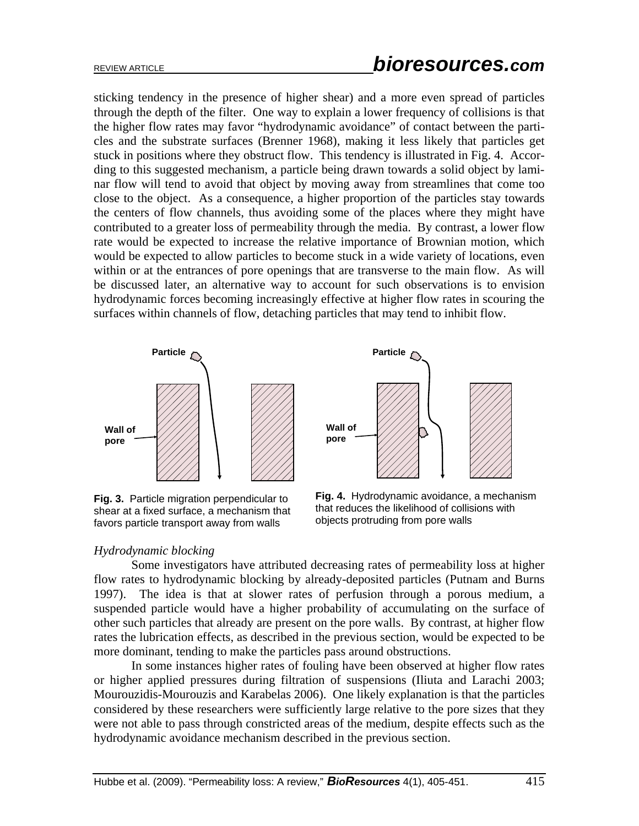sticking tendency in the presence of higher shear) and a more even spread of particles through the depth of the filter. One way to explain a lower frequency of collisions is that the higher flow rates may favor "hydrodynamic avoidance" of contact between the particles and the substrate surfaces (Brenner 1968), making it less likely that particles get stuck in positions where they obstruct flow. This tendency is illustrated in Fig. 4. According to this suggested mechanism, a particle being drawn towards a solid object by laminar flow will tend to avoid that object by moving away from streamlines that come too close to the object. As a consequence, a higher proportion of the particles stay towards the centers of flow channels, thus avoiding some of the places where they might have contributed to a greater loss of permeability through the media. By contrast, a lower flow rate would be expected to increase the relative importance of Brownian motion, which would be expected to allow particles to become stuck in a wide variety of locations, even within or at the entrances of pore openings that are transverse to the main flow. As will be discussed later, an alternative way to account for such observations is to envision hydrodynamic forces becoming increasingly effective at higher flow rates in scouring the surfaces within channels of flow, detaching particles that may tend to inhibit flow.





**Fig. 3.**Particle migration perpendicular to shear at a fixed surface, a mechanism that favors particle transport away from walls

**Fig. 4.** Hydrodynamic avoidance, a mechanism that reduces the likelihood of collisions with objects protruding from pore walls

# *Hydrodynamic blocking*

 Some investigators have attributed decreasing rates of permeability loss at higher flow rates to hydrodynamic blocking by already-deposited particles (Putnam and Burns 1997). The idea is that at slower rates of perfusion through a porous medium, a suspended particle would have a higher probability of accumulating on the surface of other such particles that already are present on the pore walls. By contrast, at higher flow rates the lubrication effects, as described in the previous section, would be expected to be more dominant, tending to make the particles pass around obstructions.

 In some instances higher rates of fouling have been observed at higher flow rates or higher applied pressures during filtration of suspensions (Iliuta and Larachi 2003; Mourouzidis-Mourouzis and Karabelas 2006). One likely explanation is that the particles considered by these researchers were sufficiently large relative to the pore sizes that they were not able to pass through constricted areas of the medium, despite effects such as the hydrodynamic avoidance mechanism described in the previous section.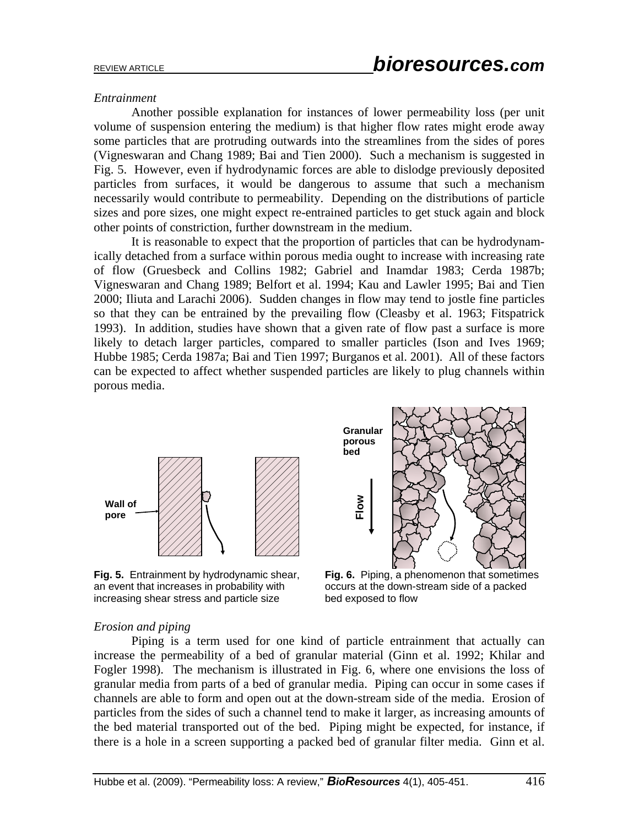#### *Entrainment*

Another possible explanation for instances of lower permeability loss (per unit volume of suspension entering the medium) is that higher flow rates might erode away some particles that are protruding outwards into the streamlines from the sides of pores (Vigneswaran and Chang 1989; Bai and Tien 2000). Such a mechanism is suggested in Fig. 5. However, even if hydrodynamic forces are able to dislodge previously deposited particles from surfaces, it would be dangerous to assume that such a mechanism necessarily would contribute to permeability. Depending on the distributions of particle sizes and pore sizes, one might expect re-entrained particles to get stuck again and block other points of constriction, further downstream in the medium.

 It is reasonable to expect that the proportion of particles that can be hydrodynamically detached from a surface within porous media ought to increase with increasing rate of flow (Gruesbeck and Collins 1982; Gabriel and Inamdar 1983; Cerda 1987b; Vigneswaran and Chang 1989; Belfort et al. 1994; Kau and Lawler 1995; Bai and Tien 2000; Iliuta and Larachi 2006). Sudden changes in flow may tend to jostle fine particles so that they can be entrained by the prevailing flow (Cleasby et al. 1963; Fitspatrick 1993). In addition, studies have shown that a given rate of flow past a surface is more likely to detach larger particles, compared to smaller particles (Ison and Ives 1969; Hubbe 1985; Cerda 1987a; Bai and Tien 1997; Burganos et al. 2001). All of these factors can be expected to affect whether suspended particles are likely to plug channels within porous media.



**Fig. 5.** Entrainment by hydrodynamic shear, an event that increases in probability with increasing shear stress and particle size



**Fig. 6.** Piping, a phenomenon that sometimes occurs at the down-stream side of a packed bed exposed to flow

# *Erosion and piping*

Piping is a term used for one kind of particle entrainment that actually can increase the permeability of a bed of granular material (Ginn et al. 1992; Khilar and Fogler 1998). The mechanism is illustrated in Fig. 6, where one envisions the loss of granular media from parts of a bed of granular media. Piping can occur in some cases if channels are able to form and open out at the down-stream side of the media. Erosion of particles from the sides of such a channel tend to make it larger, as increasing amounts of the bed material transported out of the bed. Piping might be expected, for instance, if there is a hole in a screen supporting a packed bed of granular filter media. Ginn et al.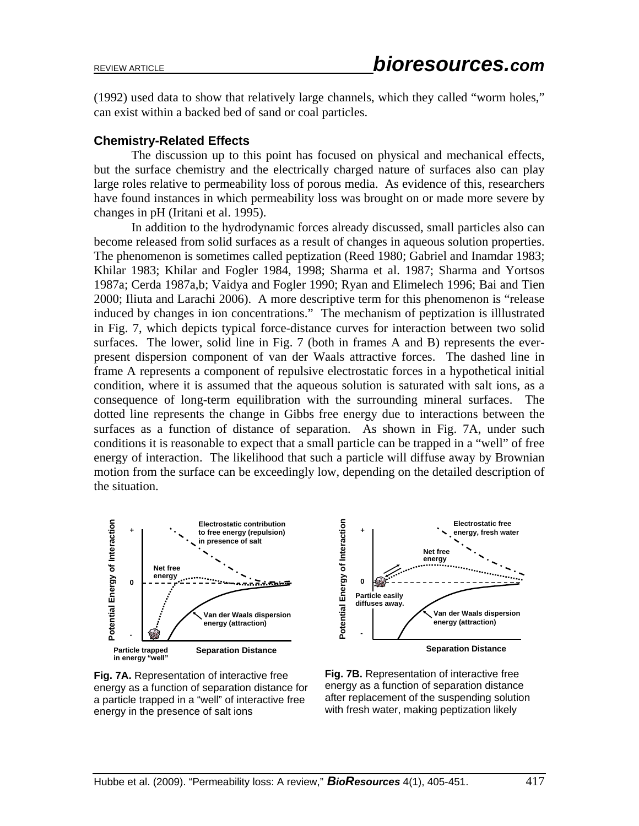(1992) used data to show that relatively large channels, which they called "worm holes," can exist within a backed bed of sand or coal particles.

#### **Chemistry-Related Effects**

 The discussion up to this point has focused on physical and mechanical effects, but the surface chemistry and the electrically charged nature of surfaces also can play large roles relative to permeability loss of porous media. As evidence of this, researchers have found instances in which permeability loss was brought on or made more severe by changes in pH (Iritani et al. 1995).

 In addition to the hydrodynamic forces already discussed, small particles also can become released from solid surfaces as a result of changes in aqueous solution properties. The phenomenon is sometimes called peptization (Reed 1980; Gabriel and Inamdar 1983; Khilar 1983; Khilar and Fogler 1984, 1998; Sharma et al. 1987; Sharma and Yortsos 1987a; Cerda 1987a,b; Vaidya and Fogler 1990; Ryan and Elimelech 1996; Bai and Tien 2000; Iliuta and Larachi 2006). A more descriptive term for this phenomenon is "release induced by changes in ion concentrations." The mechanism of peptization is illlustrated in Fig. 7, which depicts typical force-distance curves for interaction between two solid surfaces. The lower, solid line in Fig. 7 (both in frames A and B) represents the everpresent dispersion component of van der Waals attractive forces. The dashed line in frame A represents a component of repulsive electrostatic forces in a hypothetical initial condition, where it is assumed that the aqueous solution is saturated with salt ions, as a consequence of long-term equilibration with the surrounding mineral surfaces. The dotted line represents the change in Gibbs free energy due to interactions between the surfaces as a function of distance of separation. As shown in Fig. 7A, under such conditions it is reasonable to expect that a small particle can be trapped in a "well" of free energy of interaction. The likelihood that such a particle will diffuse away by Brownian motion from the surface can be exceedingly low, depending on the detailed description of the situation.



**Fig. 7A.** Representation of interactive free energy as a function of separation distance for a particle trapped in a "well" of interactive free energy in the presence of salt ions



**Fig. 7B.** Representation of interactive free energy as a function of separation distance after replacement of the suspending solution with fresh water, making peptization likely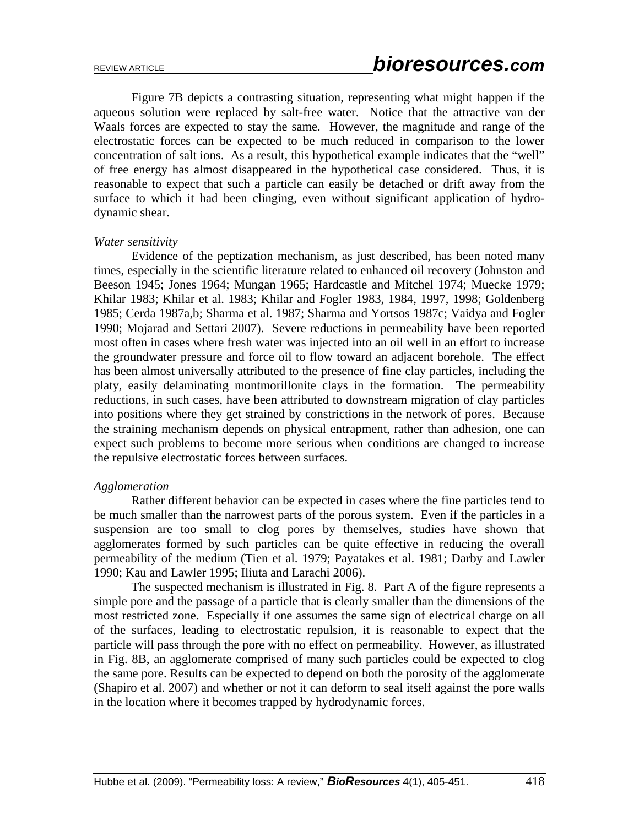Figure 7B depicts a contrasting situation, representing what might happen if the aqueous solution were replaced by salt-free water. Notice that the attractive van der Waals forces are expected to stay the same. However, the magnitude and range of the electrostatic forces can be expected to be much reduced in comparison to the lower concentration of salt ions. As a result, this hypothetical example indicates that the "well" of free energy has almost disappeared in the hypothetical case considered. Thus, it is reasonable to expect that such a particle can easily be detached or drift away from the surface to which it had been clinging, even without significant application of hydrodynamic shear.

#### *Water sensitivity*

 Evidence of the peptization mechanism, as just described, has been noted many times, especially in the scientific literature related to enhanced oil recovery (Johnston and Beeson 1945; Jones 1964; Mungan 1965; Hardcastle and Mitchel 1974; Muecke 1979; Khilar 1983; Khilar et al. 1983; Khilar and Fogler 1983, 1984, 1997, 1998; Goldenberg 1985; Cerda 1987a,b; Sharma et al. 1987; Sharma and Yortsos 1987c; Vaidya and Fogler 1990; Mojarad and Settari 2007). Severe reductions in permeability have been reported most often in cases where fresh water was injected into an oil well in an effort to increase the groundwater pressure and force oil to flow toward an adjacent borehole. The effect has been almost universally attributed to the presence of fine clay particles, including the platy, easily delaminating montmorillonite clays in the formation. The permeability reductions, in such cases, have been attributed to downstream migration of clay particles into positions where they get strained by constrictions in the network of pores. Because the straining mechanism depends on physical entrapment, rather than adhesion, one can expect such problems to become more serious when conditions are changed to increase the repulsive electrostatic forces between surfaces.

#### *Agglomeration*

 Rather different behavior can be expected in cases where the fine particles tend to be much smaller than the narrowest parts of the porous system. Even if the particles in a suspension are too small to clog pores by themselves, studies have shown that agglomerates formed by such particles can be quite effective in reducing the overall permeability of the medium (Tien et al. 1979; Payatakes et al. 1981; Darby and Lawler 1990; Kau and Lawler 1995; Iliuta and Larachi 2006).

 The suspected mechanism is illustrated in Fig. 8. Part A of the figure represents a simple pore and the passage of a particle that is clearly smaller than the dimensions of the most restricted zone. Especially if one assumes the same sign of electrical charge on all of the surfaces, leading to electrostatic repulsion, it is reasonable to expect that the particle will pass through the pore with no effect on permeability. However, as illustrated in Fig. 8B, an agglomerate comprised of many such particles could be expected to clog the same pore. Results can be expected to depend on both the porosity of the agglomerate (Shapiro et al. 2007) and whether or not it can deform to seal itself against the pore walls in the location where it becomes trapped by hydrodynamic forces.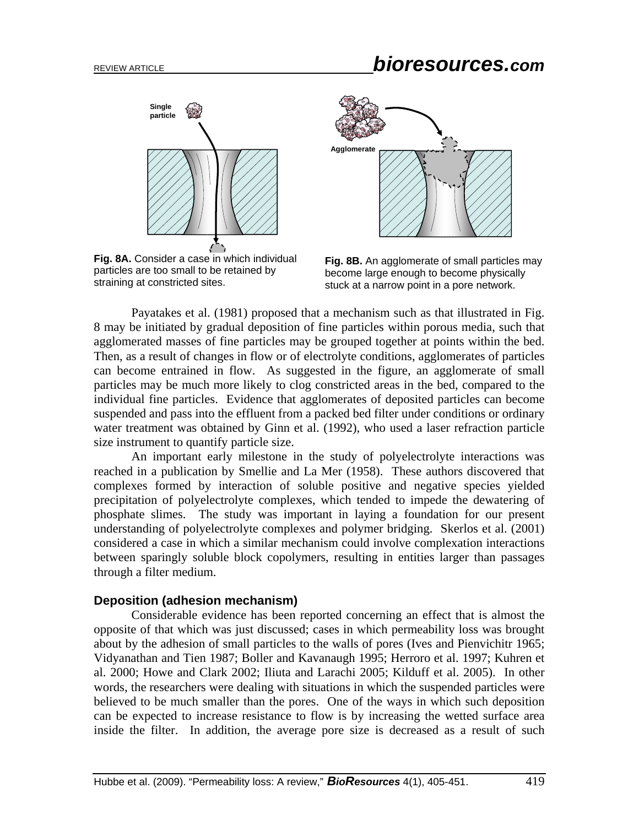

**Fig. 8A.** Consider a case in which individual particles are too small to be retained by straining at constricted sites.



**Fig. 8B.** An agglomerate of small particles may become large enough to become physically stuck at a narrow point in a pore network.

Payatakes et al. (1981) proposed that a mechanism such as that illustrated in Fig. 8 may be initiated by gradual deposition of fine particles within porous media, such that agglomerated masses of fine particles may be grouped together at points within the bed. Then, as a result of changes in flow or of electrolyte conditions, agglomerates of particles can become entrained in flow. As suggested in the figure, an agglomerate of small particles may be much more likely to clog constricted areas in the bed, compared to the individual fine particles. Evidence that agglomerates of deposited particles can become suspended and pass into the effluent from a packed bed filter under conditions or ordinary water treatment was obtained by Ginn et al. (1992), who used a laser refraction particle size instrument to quantify particle size.

An important early milestone in the study of polyelectrolyte interactions was reached in a publication by Smellie and La Mer (1958). These authors discovered that complexes formed by interaction of soluble positive and negative species yielded precipitation of polyelectrolyte complexes, which tended to impede the dewatering of phosphate slimes. The study was important in laying a foundation for our present understanding of polyelectrolyte complexes and polymer bridging. Skerlos et al. (2001) considered a case in which a similar mechanism could involve complexation interactions between sparingly soluble block copolymers, resulting in entities larger than passages through a filter medium.

#### **Deposition (adhesion mechanism)**

Considerable evidence has been reported concerning an effect that is almost the opposite of that which was just discussed; cases in which permeability loss was brought about by the adhesion of small particles to the walls of pores (Ives and Pienvichitr 1965; Vidyanathan and Tien 1987; Boller and Kavanaugh 1995; Herroro et al. 1997; Kuhren et al. 2000; Howe and Clark 2002; Iliuta and Larachi 2005; Kilduff et al. 2005). In other words, the researchers were dealing with situations in which the suspended particles were believed to be much smaller than the pores. One of the ways in which such deposition can be expected to increase resistance to flow is by increasing the wetted surface area inside the filter. In addition, the average pore size is decreased as a result of such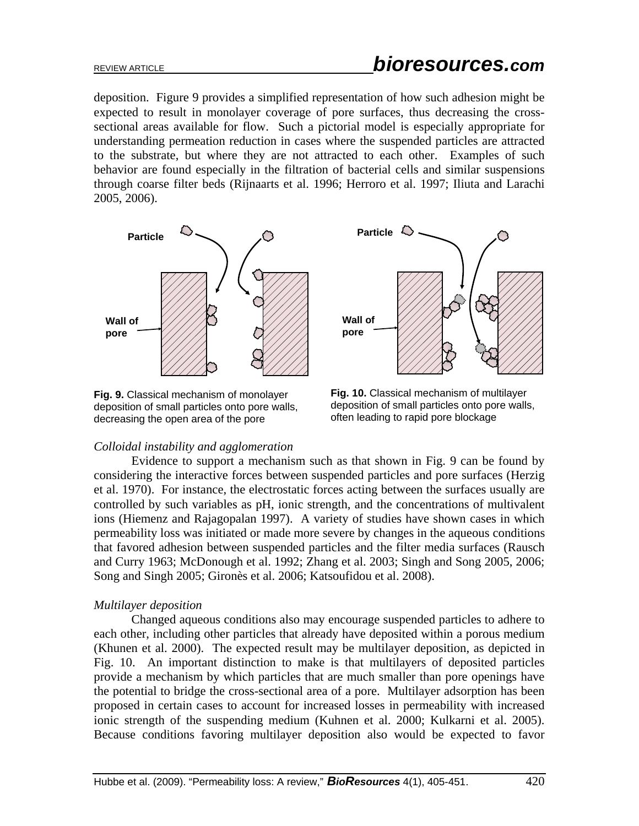deposition. Figure 9 provides a simplified representation of how such adhesion might be expected to result in monolayer coverage of pore surfaces, thus decreasing the crosssectional areas available for flow. Such a pictorial model is especially appropriate for understanding permeation reduction in cases where the suspended particles are attracted to the substrate, but where they are not attracted to each other. Examples of such behavior are found especially in the filtration of bacterial cells and similar suspensions through coarse filter beds (Rijnaarts et al. 1996; Herroro et al. 1997; Iliuta and Larachi 2005, 2006).



**Fig. 9.** Classical mechanism of monolayer deposition of small particles onto pore walls, decreasing the open area of the pore

**Fig. 10.** Classical mechanism of multilayer deposition of small particles onto pore walls, often leading to rapid pore blockage

# *Colloidal instability and agglomeration*

Evidence to support a mechanism such as that shown in Fig. 9 can be found by considering the interactive forces between suspended particles and pore surfaces (Herzig et al. 1970). For instance, the electrostatic forces acting between the surfaces usually are controlled by such variables as pH, ionic strength, and the concentrations of multivalent ions (Hiemenz and Rajagopalan 1997). A variety of studies have shown cases in which permeability loss was initiated or made more severe by changes in the aqueous conditions that favored adhesion between suspended particles and the filter media surfaces (Rausch and Curry 1963; McDonough et al. 1992; Zhang et al. 2003; Singh and Song 2005, 2006; Song and Singh 2005; Gironès et al. 2006; Katsoufidou et al. 2008).

# *Multilayer deposition*

Changed aqueous conditions also may encourage suspended particles to adhere to each other, including other particles that already have deposited within a porous medium (Khunen et al. 2000). The expected result may be multilayer deposition, as depicted in Fig. 10. An important distinction to make is that multilayers of deposited particles provide a mechanism by which particles that are much smaller than pore openings have the potential to bridge the cross-sectional area of a pore. Multilayer adsorption has been proposed in certain cases to account for increased losses in permeability with increased ionic strength of the suspending medium (Kuhnen et al. 2000; Kulkarni et al. 2005). Because conditions favoring multilayer deposition also would be expected to favor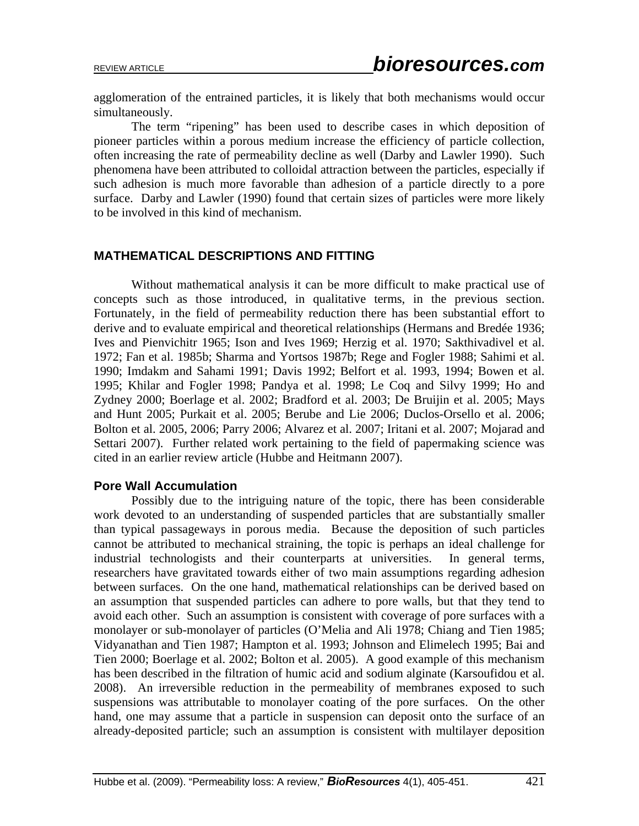agglomeration of the entrained particles, it is likely that both mechanisms would occur simultaneously.

The term "ripening" has been used to describe cases in which deposition of pioneer particles within a porous medium increase the efficiency of particle collection, often increasing the rate of permeability decline as well (Darby and Lawler 1990). Such phenomena have been attributed to colloidal attraction between the particles, especially if such adhesion is much more favorable than adhesion of a particle directly to a pore surface. Darby and Lawler (1990) found that certain sizes of particles were more likely to be involved in this kind of mechanism.

### **MATHEMATICAL DESCRIPTIONS AND FITTING**

 Without mathematical analysis it can be more difficult to make practical use of concepts such as those introduced, in qualitative terms, in the previous section. Fortunately, in the field of permeability reduction there has been substantial effort to derive and to evaluate empirical and theoretical relationships (Hermans and Bredée 1936; Ives and Pienvichitr 1965; Ison and Ives 1969; Herzig et al. 1970; Sakthivadivel et al. 1972; Fan et al. 1985b; Sharma and Yortsos 1987b; Rege and Fogler 1988; Sahimi et al. 1990; Imdakm and Sahami 1991; Davis 1992; Belfort et al. 1993, 1994; Bowen et al. 1995; Khilar and Fogler 1998; Pandya et al. 1998; Le Coq and Silvy 1999; Ho and Zydney 2000; Boerlage et al. 2002; Bradford et al. 2003; De Bruijin et al. 2005; Mays and Hunt 2005; Purkait et al. 2005; Berube and Lie 2006; Duclos-Orsello et al. 2006; Bolton et al. 2005, 2006; Parry 2006; Alvarez et al. 2007; Iritani et al. 2007; Mojarad and Settari 2007). Further related work pertaining to the field of papermaking science was cited in an earlier review article (Hubbe and Heitmann 2007).

#### **Pore Wall Accumulation**

Possibly due to the intriguing nature of the topic, there has been considerable work devoted to an understanding of suspended particles that are substantially smaller than typical passageways in porous media. Because the deposition of such particles cannot be attributed to mechanical straining, the topic is perhaps an ideal challenge for industrial technologists and their counterparts at universities. In general terms, researchers have gravitated towards either of two main assumptions regarding adhesion between surfaces. On the one hand, mathematical relationships can be derived based on an assumption that suspended particles can adhere to pore walls, but that they tend to avoid each other. Such an assumption is consistent with coverage of pore surfaces with a monolayer or sub-monolayer of particles (O'Melia and Ali 1978; Chiang and Tien 1985; Vidyanathan and Tien 1987; Hampton et al. 1993; Johnson and Elimelech 1995; Bai and Tien 2000; Boerlage et al. 2002; Bolton et al. 2005). A good example of this mechanism has been described in the filtration of humic acid and sodium alginate (Karsoufidou et al. 2008). An irreversible reduction in the permeability of membranes exposed to such suspensions was attributable to monolayer coating of the pore surfaces. On the other hand, one may assume that a particle in suspension can deposit onto the surface of an already-deposited particle; such an assumption is consistent with multilayer deposition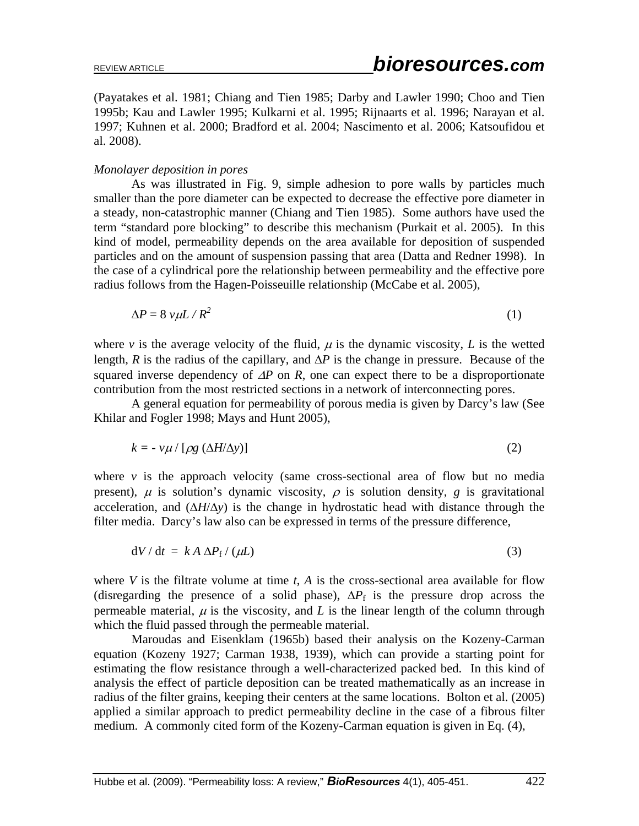(Payatakes et al. 1981; Chiang and Tien 1985; Darby and Lawler 1990; Choo and Tien 1995b; Kau and Lawler 1995; Kulkarni et al. 1995; Rijnaarts et al. 1996; Narayan et al. 1997; Kuhnen et al. 2000; Bradford et al. 2004; Nascimento et al. 2006; Katsoufidou et al. 2008).

#### *Monolayer deposition in pores*

 As was illustrated in Fig. 9, simple adhesion to pore walls by particles much smaller than the pore diameter can be expected to decrease the effective pore diameter in a steady, non-catastrophic manner (Chiang and Tien 1985). Some authors have used the term "standard pore blocking" to describe this mechanism (Purkait et al. 2005). In this kind of model, permeability depends on the area available for deposition of suspended particles and on the amount of suspension passing that area (Datta and Redner 1998). In the case of a cylindrical pore the relationship between permeability and the effective pore radius follows from the Hagen-Poisseuille relationship (McCabe et al. 2005),

$$
\Delta P = 8 \nu \mu L / R^2 \tag{1}
$$

where *v* is the average velocity of the fluid,  $\mu$  is the dynamic viscosity,  $L$  is the wetted length, *R* is the radius of the capillary, and  $\Delta P$  is the change in pressure. Because of the squared inverse dependency of  $\Delta P$  on *R*, one can expect there to be a disproportionate contribution from the most restricted sections in a network of interconnecting pores.

A general equation for permeability of porous media is given by Darcy's law (See Khilar and Fogler 1998; Mays and Hunt 2005),

$$
k = -\nu\mu / \left[\rho g \left(\Delta H / \Delta y\right)\right]
$$
 (2)

where  $\nu$  is the approach velocity (same cross-sectional area of flow but no media present),  $\mu$  is solution's dynamic viscosity,  $\rho$  is solution density, *g* is gravitational acceleration, and  $(\Delta H/\Delta y)$  is the change in hydrostatic head with distance through the filter media. Darcy's law also can be expressed in terms of the pressure difference,

$$
dV/dt = k A \Delta P_f / (\mu L) \tag{3}
$$

where *V* is the filtrate volume at time *t*, *A* is the cross-sectional area available for flow (disregarding the presence of a solid phase),  $\Delta P_f$  is the pressure drop across the permeable material,  $\mu$  is the viscosity, and  $L$  is the linear length of the column through which the fluid passed through the permeable material.

Maroudas and Eisenklam (1965b) based their analysis on the Kozeny-Carman equation (Kozeny 1927; Carman 1938, 1939), which can provide a starting point for estimating the flow resistance through a well-characterized packed bed. In this kind of analysis the effect of particle deposition can be treated mathematically as an increase in radius of the filter grains, keeping their centers at the same locations. Bolton et al. (2005) applied a similar approach to predict permeability decline in the case of a fibrous filter medium. A commonly cited form of the Kozeny-Carman equation is given in Eq. (4),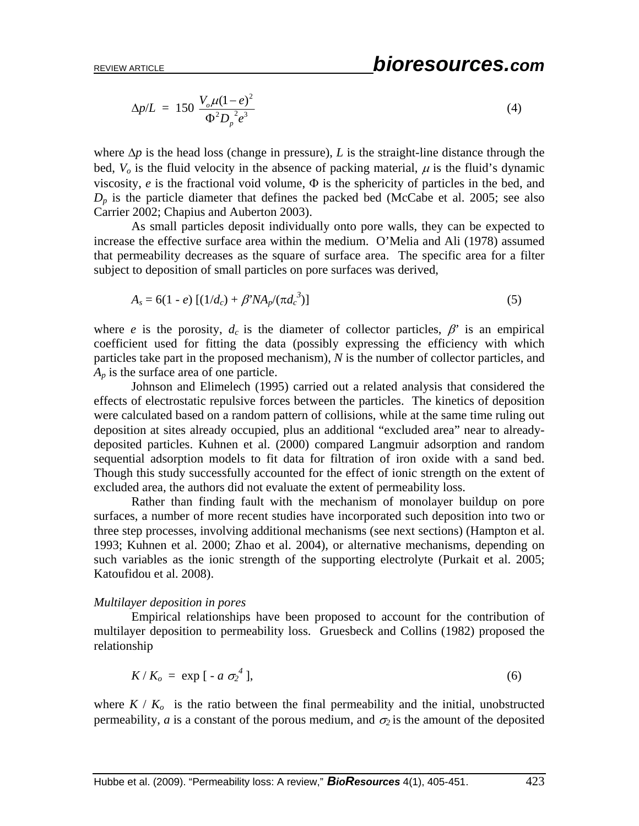$$
\Delta p/L = 150 \frac{V_o \mu (1 - e)^2}{\Phi^2 D_p^2 e^3} \tag{4}
$$

where  $\Delta p$  is the head loss (change in pressure), *L* is the straight-line distance through the bed,  $V<sub>o</sub>$  is the fluid velocity in the absence of packing material,  $\mu$  is the fluid's dynamic viscosity, *e* is the fractional void volume, Φ is the sphericity of particles in the bed, and  $D_p$  is the particle diameter that defines the packed bed (McCabe et al. 2005; see also Carrier 2002; Chapius and Auberton 2003).

 As small particles deposit individually onto pore walls, they can be expected to increase the effective surface area within the medium. O'Melia and Ali (1978) assumed that permeability decreases as the square of surface area. The specific area for a filter subject to deposition of small particles on pore surfaces was derived,

$$
A_s = 6(1 - e) \left[ (1/d_c) + \beta' N A_p / (\pi d_c^3) \right]
$$
 (5)

where *e* is the porosity,  $d_c$  is the diameter of collector particles,  $\beta'$  is an empirical coefficient used for fitting the data (possibly expressing the efficiency with which particles take part in the proposed mechanism), *N* is the number of collector particles, and  $A_p$  is the surface area of one particle.

Johnson and Elimelech (1995) carried out a related analysis that considered the effects of electrostatic repulsive forces between the particles. The kinetics of deposition were calculated based on a random pattern of collisions, while at the same time ruling out deposition at sites already occupied, plus an additional "excluded area" near to alreadydeposited particles. Kuhnen et al. (2000) compared Langmuir adsorption and random sequential adsorption models to fit data for filtration of iron oxide with a sand bed. Though this study successfully accounted for the effect of ionic strength on the extent of excluded area, the authors did not evaluate the extent of permeability loss.

 Rather than finding fault with the mechanism of monolayer buildup on pore surfaces, a number of more recent studies have incorporated such deposition into two or three step processes, involving additional mechanisms (see next sections) (Hampton et al. 1993; Kuhnen et al. 2000; Zhao et al. 2004), or alternative mechanisms, depending on such variables as the ionic strength of the supporting electrolyte (Purkait et al. 2005; Katoufidou et al. 2008).

#### *Multilayer deposition in pores*

 Empirical relationships have been proposed to account for the contribution of multilayer deposition to permeability loss. Gruesbeck and Collins (1982) proposed the relationship

$$
K/K_o = \exp\left[-a \sigma_2^4\right],\tag{6}
$$

where  $K / K_o$  is the ratio between the final permeability and the initial, unobstructed permeability, *a* is a constant of the porous medium, and  $\sigma_2$  is the amount of the deposited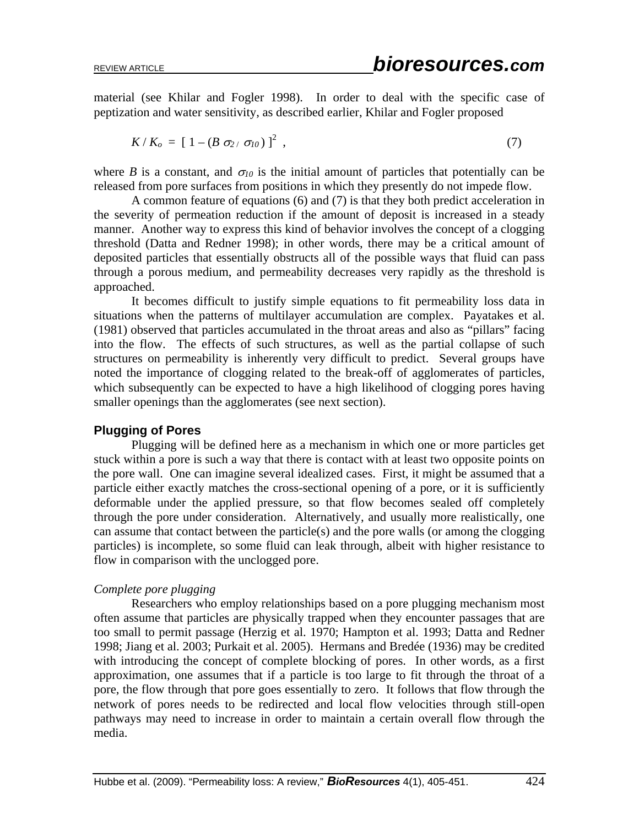material (see Khilar and Fogler 1998). In order to deal with the specific case of peptization and water sensitivity, as described earlier, Khilar and Fogler proposed

$$
K/K_o = [1 - (B \sigma_{2/} \sigma_{10})]^2 , \qquad (7)
$$

where *B* is a constant, and  $\sigma_{10}$  is the initial amount of particles that potentially can be released from pore surfaces from positions in which they presently do not impede flow.

A common feature of equations (6) and (7) is that they both predict acceleration in the severity of permeation reduction if the amount of deposit is increased in a steady manner. Another way to express this kind of behavior involves the concept of a clogging threshold (Datta and Redner 1998); in other words, there may be a critical amount of deposited particles that essentially obstructs all of the possible ways that fluid can pass through a porous medium, and permeability decreases very rapidly as the threshold is approached.

It becomes difficult to justify simple equations to fit permeability loss data in situations when the patterns of multilayer accumulation are complex. Payatakes et al. (1981) observed that particles accumulated in the throat areas and also as "pillars" facing into the flow. The effects of such structures, as well as the partial collapse of such structures on permeability is inherently very difficult to predict. Several groups have noted the importance of clogging related to the break-off of agglomerates of particles, which subsequently can be expected to have a high likelihood of clogging pores having smaller openings than the agglomerates (see next section).

# **Plugging of Pores**

 Plugging will be defined here as a mechanism in which one or more particles get stuck within a pore is such a way that there is contact with at least two opposite points on the pore wall. One can imagine several idealized cases. First, it might be assumed that a particle either exactly matches the cross-sectional opening of a pore, or it is sufficiently deformable under the applied pressure, so that flow becomes sealed off completely through the pore under consideration. Alternatively, and usually more realistically, one can assume that contact between the particle(s) and the pore walls (or among the clogging particles) is incomplete, so some fluid can leak through, albeit with higher resistance to flow in comparison with the unclogged pore.

#### *Complete pore plugging*

Researchers who employ relationships based on a pore plugging mechanism most often assume that particles are physically trapped when they encounter passages that are too small to permit passage (Herzig et al. 1970; Hampton et al. 1993; Datta and Redner 1998; Jiang et al. 2003; Purkait et al. 2005). Hermans and Bredée (1936) may be credited with introducing the concept of complete blocking of pores. In other words, as a first approximation, one assumes that if a particle is too large to fit through the throat of a pore, the flow through that pore goes essentially to zero. It follows that flow through the network of pores needs to be redirected and local flow velocities through still-open pathways may need to increase in order to maintain a certain overall flow through the media.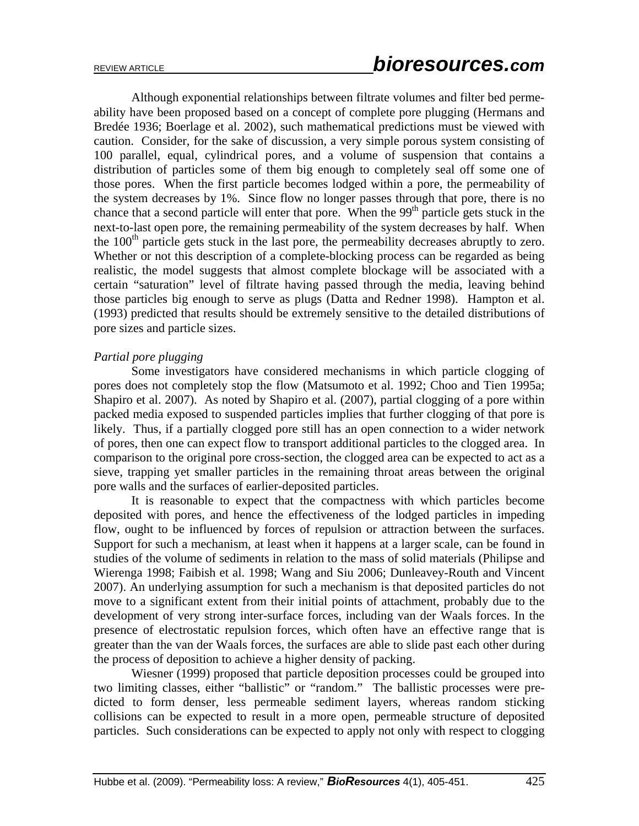Although exponential relationships between filtrate volumes and filter bed permeability have been proposed based on a concept of complete pore plugging (Hermans and Bredée 1936; Boerlage et al. 2002), such mathematical predictions must be viewed with caution. Consider, for the sake of discussion, a very simple porous system consisting of 100 parallel, equal, cylindrical pores, and a volume of suspension that contains a distribution of particles some of them big enough to completely seal off some one of those pores. When the first particle becomes lodged within a pore, the permeability of the system decreases by 1%. Since flow no longer passes through that pore, there is no chance that a second particle will enter that pore. When the  $99<sup>th</sup>$  particle gets stuck in the next-to-last open pore, the remaining permeability of the system decreases by half. When the  $100<sup>th</sup>$  particle gets stuck in the last pore, the permeability decreases abruptly to zero. Whether or not this description of a complete-blocking process can be regarded as being realistic, the model suggests that almost complete blockage will be associated with a certain "saturation" level of filtrate having passed through the media, leaving behind those particles big enough to serve as plugs (Datta and Redner 1998). Hampton et al. (1993) predicted that results should be extremely sensitive to the detailed distributions of pore sizes and particle sizes.

# *Partial pore plugging*

 Some investigators have considered mechanisms in which particle clogging of pores does not completely stop the flow (Matsumoto et al. 1992; Choo and Tien 1995a; Shapiro et al. 2007). As noted by Shapiro et al. (2007), partial clogging of a pore within packed media exposed to suspended particles implies that further clogging of that pore is likely. Thus, if a partially clogged pore still has an open connection to a wider network of pores, then one can expect flow to transport additional particles to the clogged area. In comparison to the original pore cross-section, the clogged area can be expected to act as a sieve, trapping yet smaller particles in the remaining throat areas between the original pore walls and the surfaces of earlier-deposited particles.

 It is reasonable to expect that the compactness with which particles become deposited with pores, and hence the effectiveness of the lodged particles in impeding flow, ought to be influenced by forces of repulsion or attraction between the surfaces. Support for such a mechanism, at least when it happens at a larger scale, can be found in studies of the volume of sediments in relation to the mass of solid materials (Philipse and Wierenga 1998; Faibish et al. 1998; Wang and Siu 2006; Dunleavey-Routh and Vincent 2007). An underlying assumption for such a mechanism is that deposited particles do not move to a significant extent from their initial points of attachment, probably due to the development of very strong inter-surface forces, including van der Waals forces. In the presence of electrostatic repulsion forces, which often have an effective range that is greater than the van der Waals forces, the surfaces are able to slide past each other during the process of deposition to achieve a higher density of packing.

 Wiesner (1999) proposed that particle deposition processes could be grouped into two limiting classes, either "ballistic" or "random." The ballistic processes were predicted to form denser, less permeable sediment layers, whereas random sticking collisions can be expected to result in a more open, permeable structure of deposited particles. Such considerations can be expected to apply not only with respect to clogging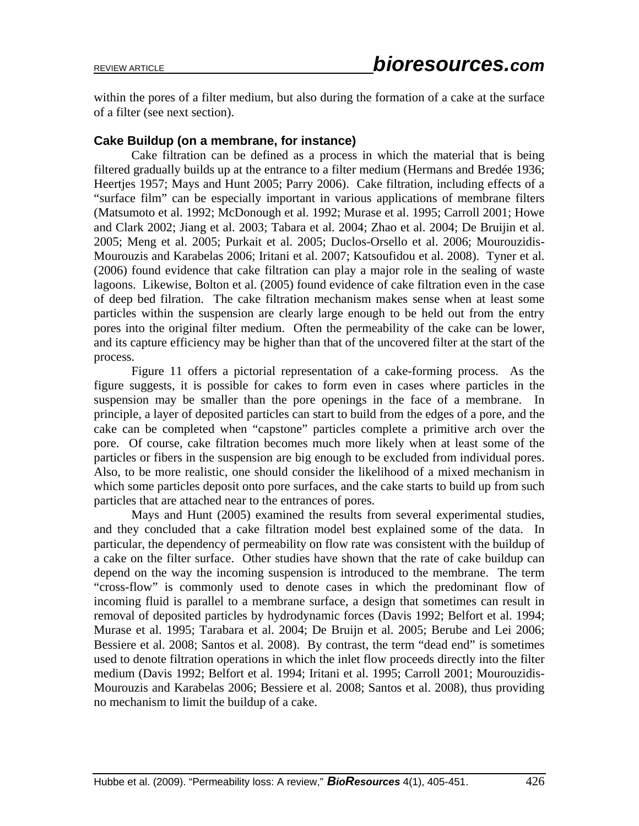within the pores of a filter medium, but also during the formation of a cake at the surface of a filter (see next section).

# **Cake Buildup (on a membrane, for instance)**

 Cake filtration can be defined as a process in which the material that is being filtered gradually builds up at the entrance to a filter medium (Hermans and Bredée 1936; Heertjes 1957; Mays and Hunt 2005; Parry 2006). Cake filtration, including effects of a "surface film" can be especially important in various applications of membrane filters (Matsumoto et al. 1992; McDonough et al. 1992; Murase et al. 1995; Carroll 2001; Howe and Clark 2002; Jiang et al. 2003; Tabara et al. 2004; Zhao et al. 2004; De Bruijin et al. 2005; Meng et al. 2005; Purkait et al. 2005; Duclos-Orsello et al. 2006; Mourouzidis-Mourouzis and Karabelas 2006; Iritani et al. 2007; Katsoufidou et al. 2008). Tyner et al. (2006) found evidence that cake filtration can play a major role in the sealing of waste lagoons. Likewise, Bolton et al. (2005) found evidence of cake filtration even in the case of deep bed filration. The cake filtration mechanism makes sense when at least some particles within the suspension are clearly large enough to be held out from the entry pores into the original filter medium. Often the permeability of the cake can be lower, and its capture efficiency may be higher than that of the uncovered filter at the start of the process.

 Figure 11 offers a pictorial representation of a cake-forming process. As the figure suggests, it is possible for cakes to form even in cases where particles in the suspension may be smaller than the pore openings in the face of a membrane. In principle, a layer of deposited particles can start to build from the edges of a pore, and the cake can be completed when "capstone" particles complete a primitive arch over the pore. Of course, cake filtration becomes much more likely when at least some of the particles or fibers in the suspension are big enough to be excluded from individual pores. Also, to be more realistic, one should consider the likelihood of a mixed mechanism in which some particles deposit onto pore surfaces, and the cake starts to build up from such particles that are attached near to the entrances of pores.

Mays and Hunt (2005) examined the results from several experimental studies, and they concluded that a cake filtration model best explained some of the data. In particular, the dependency of permeability on flow rate was consistent with the buildup of a cake on the filter surface. Other studies have shown that the rate of cake buildup can depend on the way the incoming suspension is introduced to the membrane. The term "cross-flow" is commonly used to denote cases in which the predominant flow of incoming fluid is parallel to a membrane surface, a design that sometimes can result in removal of deposited particles by hydrodynamic forces (Davis 1992; Belfort et al. 1994; Murase et al. 1995; Tarabara et al. 2004; De Bruijn et al. 2005; Berube and Lei 2006; Bessiere et al. 2008; Santos et al. 2008). By contrast, the term "dead end" is sometimes used to denote filtration operations in which the inlet flow proceeds directly into the filter medium (Davis 1992; Belfort et al. 1994; Iritani et al. 1995; Carroll 2001; Mourouzidis-Mourouzis and Karabelas 2006; Bessiere et al. 2008; Santos et al. 2008), thus providing no mechanism to limit the buildup of a cake.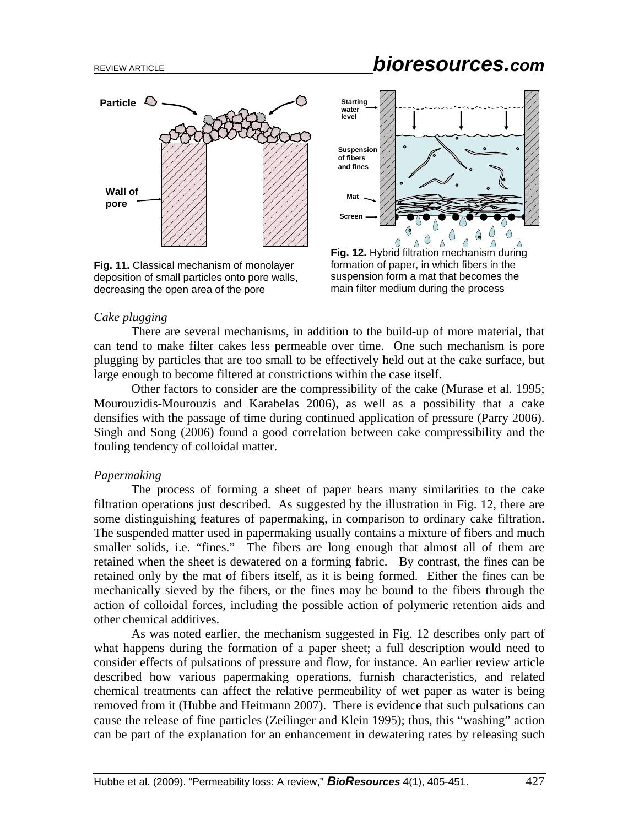

**Fig. 11.** Classical mechanism of monolayer deposition of small particles onto pore walls, decreasing the open area of the pore

# REVIEW ARTICLE *bioresources.com*



formation of paper, in which fibers in the suspension form a mat that becomes the main filter medium during the process

#### *Cake plugging*

 There are several mechanisms, in addition to the build-up of more material, that can tend to make filter cakes less permeable over time. One such mechanism is pore plugging by particles that are too small to be effectively held out at the cake surface, but large enough to become filtered at constrictions within the case itself.

 Other factors to consider are the compressibility of the cake (Murase et al. 1995; Mourouzidis-Mourouzis and Karabelas 2006), as well as a possibility that a cake densifies with the passage of time during continued application of pressure (Parry 2006). Singh and Song (2006) found a good correlation between cake compressibility and the fouling tendency of colloidal matter.

# *Papermaking*

 The process of forming a sheet of paper bears many similarities to the cake filtration operations just described. As suggested by the illustration in Fig. 12, there are some distinguishing features of papermaking, in comparison to ordinary cake filtration. The suspended matter used in papermaking usually contains a mixture of fibers and much smaller solids, i.e. "fines." The fibers are long enough that almost all of them are retained when the sheet is dewatered on a forming fabric. By contrast, the fines can be retained only by the mat of fibers itself, as it is being formed. Either the fines can be mechanically sieved by the fibers, or the fines may be bound to the fibers through the action of colloidal forces, including the possible action of polymeric retention aids and other chemical additives.

 As was noted earlier, the mechanism suggested in Fig. 12 describes only part of what happens during the formation of a paper sheet; a full description would need to consider effects of pulsations of pressure and flow, for instance. An earlier review article described how various papermaking operations, furnish characteristics, and related chemical treatments can affect the relative permeability of wet paper as water is being removed from it (Hubbe and Heitmann 2007). There is evidence that such pulsations can cause the release of fine particles (Zeilinger and Klein 1995); thus, this "washing" action can be part of the explanation for an enhancement in dewatering rates by releasing such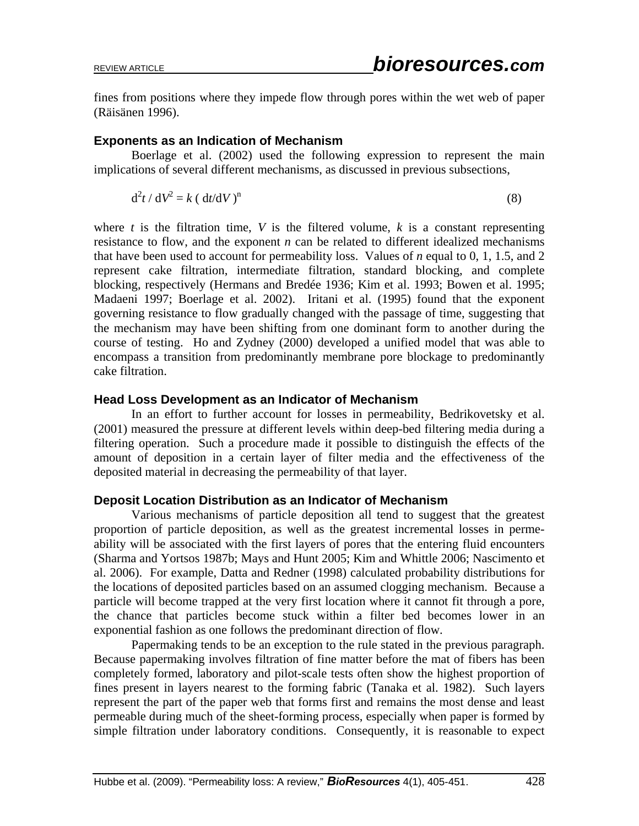fines from positions where they impede flow through pores within the wet web of paper (Räisänen 1996).

# **Exponents as an Indication of Mechanism**

Boerlage et al. (2002) used the following expression to represent the main implications of several different mechanisms, as discussed in previous subsections,

$$
d^2t/dV^2 = k (dt/dV)^n
$$
 (8)

where  $t$  is the filtration time,  $V$  is the filtered volume,  $k$  is a constant representing resistance to flow, and the exponent *n* can be related to different idealized mechanisms that have been used to account for permeability loss. Values of *n* equal to 0, 1, 1.5, and 2 represent cake filtration, intermediate filtration, standard blocking, and complete blocking, respectively (Hermans and Bredée 1936; Kim et al. 1993; Bowen et al. 1995; Madaeni 1997; Boerlage et al. 2002). Iritani et al. (1995) found that the exponent governing resistance to flow gradually changed with the passage of time, suggesting that the mechanism may have been shifting from one dominant form to another during the course of testing. Ho and Zydney (2000) developed a unified model that was able to encompass a transition from predominantly membrane pore blockage to predominantly cake filtration.

# **Head Loss Development as an Indicator of Mechanism**

 In an effort to further account for losses in permeability, Bedrikovetsky et al. (2001) measured the pressure at different levels within deep-bed filtering media during a filtering operation. Such a procedure made it possible to distinguish the effects of the amount of deposition in a certain layer of filter media and the effectiveness of the deposited material in decreasing the permeability of that layer.

# **Deposit Location Distribution as an Indicator of Mechanism**

 Various mechanisms of particle deposition all tend to suggest that the greatest proportion of particle deposition, as well as the greatest incremental losses in permeability will be associated with the first layers of pores that the entering fluid encounters (Sharma and Yortsos 1987b; Mays and Hunt 2005; Kim and Whittle 2006; Nascimento et al. 2006). For example, Datta and Redner (1998) calculated probability distributions for the locations of deposited particles based on an assumed clogging mechanism. Because a particle will become trapped at the very first location where it cannot fit through a pore, the chance that particles become stuck within a filter bed becomes lower in an exponential fashion as one follows the predominant direction of flow.

 Papermaking tends to be an exception to the rule stated in the previous paragraph. Because papermaking involves filtration of fine matter before the mat of fibers has been completely formed, laboratory and pilot-scale tests often show the highest proportion of fines present in layers nearest to the forming fabric (Tanaka et al. 1982). Such layers represent the part of the paper web that forms first and remains the most dense and least permeable during much of the sheet-forming process, especially when paper is formed by simple filtration under laboratory conditions. Consequently, it is reasonable to expect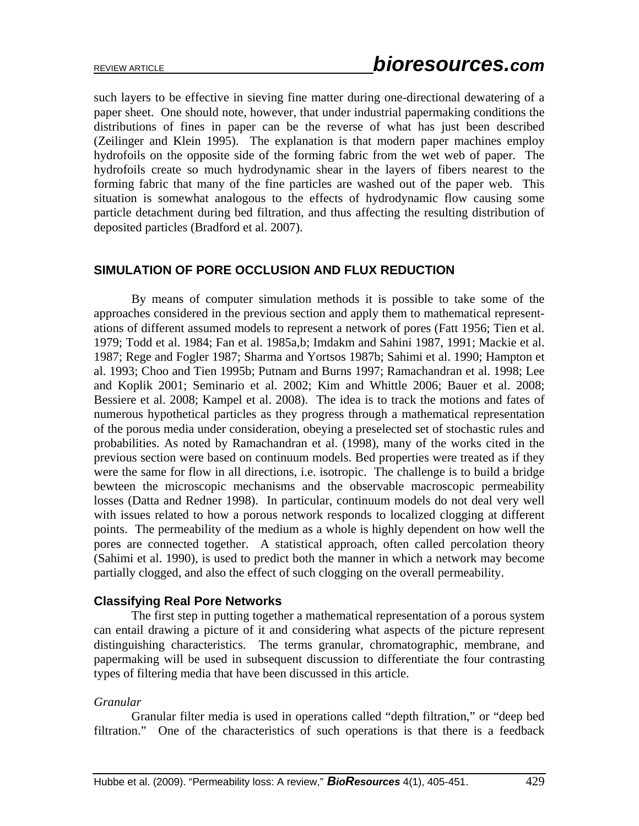such layers to be effective in sieving fine matter during one-directional dewatering of a paper sheet. One should note, however, that under industrial papermaking conditions the distributions of fines in paper can be the reverse of what has just been described (Zeilinger and Klein 1995). The explanation is that modern paper machines employ hydrofoils on the opposite side of the forming fabric from the wet web of paper. The hydrofoils create so much hydrodynamic shear in the layers of fibers nearest to the forming fabric that many of the fine particles are washed out of the paper web. This situation is somewhat analogous to the effects of hydrodynamic flow causing some particle detachment during bed filtration, and thus affecting the resulting distribution of deposited particles (Bradford et al. 2007).

# **SIMULATION OF PORE OCCLUSION AND FLUX REDUCTION**

 By means of computer simulation methods it is possible to take some of the approaches considered in the previous section and apply them to mathematical representations of different assumed models to represent a network of pores (Fatt 1956; Tien et al. 1979; Todd et al. 1984; Fan et al. 1985a,b; Imdakm and Sahini 1987, 1991; Mackie et al. 1987; Rege and Fogler 1987; Sharma and Yortsos 1987b; Sahimi et al. 1990; Hampton et al. 1993; Choo and Tien 1995b; Putnam and Burns 1997; Ramachandran et al. 1998; Lee and Koplik 2001; Seminario et al. 2002; Kim and Whittle 2006; Bauer et al. 2008; Bessiere et al. 2008; Kampel et al. 2008). The idea is to track the motions and fates of numerous hypothetical particles as they progress through a mathematical representation of the porous media under consideration, obeying a preselected set of stochastic rules and probabilities. As noted by Ramachandran et al. (1998), many of the works cited in the previous section were based on continuum models. Bed properties were treated as if they were the same for flow in all directions, i.e. isotropic. The challenge is to build a bridge bewteen the microscopic mechanisms and the observable macroscopic permeability losses (Datta and Redner 1998). In particular, continuum models do not deal very well with issues related to how a porous network responds to localized clogging at different points. The permeability of the medium as a whole is highly dependent on how well the pores are connected together. A statistical approach, often called percolation theory (Sahimi et al. 1990), is used to predict both the manner in which a network may become partially clogged, and also the effect of such clogging on the overall permeability.

# **Classifying Real Pore Networks**

 The first step in putting together a mathematical representation of a porous system can entail drawing a picture of it and considering what aspects of the picture represent distinguishing characteristics. The terms granular, chromatographic, membrane, and papermaking will be used in subsequent discussion to differentiate the four contrasting types of filtering media that have been discussed in this article.

#### *Granular*

 Granular filter media is used in operations called "depth filtration," or "deep bed filtration." One of the characteristics of such operations is that there is a feedback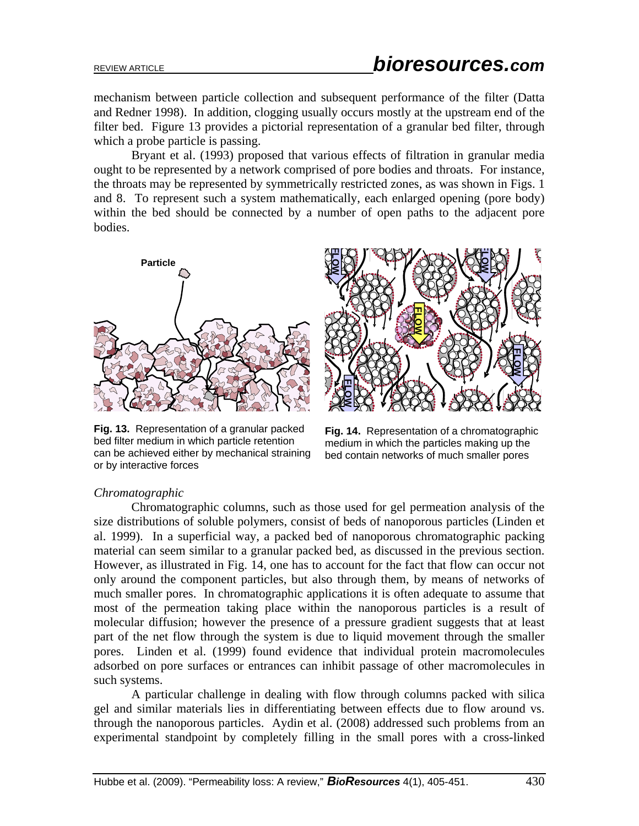# REVIEW ARTICLE *bioresources.com*

mechanism between particle collection and subsequent performance of the filter (Datta and Redner 1998). In addition, clogging usually occurs mostly at the upstream end of the filter bed. Figure 13 provides a pictorial representation of a granular bed filter, through which a probe particle is passing.

Bryant et al. (1993) proposed that various effects of filtration in granular media ought to be represented by a network comprised of pore bodies and throats. For instance, the throats may be represented by symmetrically restricted zones, as was shown in Figs. 1 and 8. To represent such a system mathematically, each enlarged opening (pore body) within the bed should be connected by a number of open paths to the adjacent pore bodies.



**FLOW FLOW FLOW FLOW FLOW "**

**Fig. 13.** Representation of a granular packed bed filter medium in which particle retention can be achieved either by mechanical straining or by interactive forces

**Fig. 14.** Representation of a chromatographic medium in which the particles making up the bed contain networks of much smaller pores

#### *Chromatographic*

Chromatographic columns, such as those used for gel permeation analysis of the size distributions of soluble polymers, consist of beds of nanoporous particles (Linden et al. 1999). In a superficial way, a packed bed of nanoporous chromatographic packing material can seem similar to a granular packed bed, as discussed in the previous section. However, as illustrated in Fig. 14, one has to account for the fact that flow can occur not only around the component particles, but also through them, by means of networks of much smaller pores. In chromatographic applications it is often adequate to assume that most of the permeation taking place within the nanoporous particles is a result of molecular diffusion; however the presence of a pressure gradient suggests that at least part of the net flow through the system is due to liquid movement through the smaller pores. Linden et al. (1999) found evidence that individual protein macromolecules adsorbed on pore surfaces or entrances can inhibit passage of other macromolecules in such systems.

A particular challenge in dealing with flow through columns packed with silica gel and similar materials lies in differentiating between effects due to flow around vs. through the nanoporous particles. Aydin et al. (2008) addressed such problems from an experimental standpoint by completely filling in the small pores with a cross-linked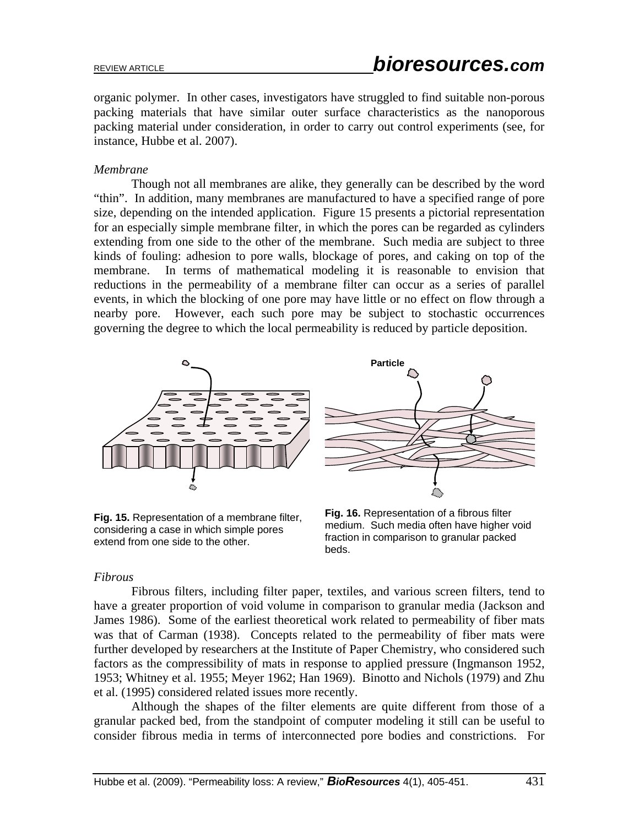organic polymer. In other cases, investigators have struggled to find suitable non-porous packing materials that have similar outer surface characteristics as the nanoporous packing material under consideration, in order to carry out control experiments (see, for instance, Hubbe et al. 2007).

# *Membrane*

 Though not all membranes are alike, they generally can be described by the word "thin". In addition, many membranes are manufactured to have a specified range of pore size, depending on the intended application. Figure 15 presents a pictorial representation for an especially simple membrane filter, in which the pores can be regarded as cylinders extending from one side to the other of the membrane. Such media are subject to three kinds of fouling: adhesion to pore walls, blockage of pores, and caking on top of the membrane. In terms of mathematical modeling it is reasonable to envision that reductions in the permeability of a membrane filter can occur as a series of parallel events, in which the blocking of one pore may have little or no effect on flow through a nearby pore. However, each such pore may be subject to stochastic occurrences governing the degree to which the local permeability is reduced by particle deposition.



**Fig. 15.** Representation of a membrane filter, considering a case in which simple pores extend from one side to the other.

**Particle**

**Fig. 16.** Representation of a fibrous filter medium. Such media often have higher void fraction in comparison to granular packed beds.

# *Fibrous*

 Fibrous filters, including filter paper, textiles, and various screen filters, tend to have a greater proportion of void volume in comparison to granular media (Jackson and James 1986). Some of the earliest theoretical work related to permeability of fiber mats was that of Carman (1938). Concepts related to the permeability of fiber mats were further developed by researchers at the Institute of Paper Chemistry, who considered such factors as the compressibility of mats in response to applied pressure (Ingmanson 1952, 1953; Whitney et al. 1955; Meyer 1962; Han 1969). Binotto and Nichols (1979) and Zhu et al. (1995) considered related issues more recently.

Although the shapes of the filter elements are quite different from those of a granular packed bed, from the standpoint of computer modeling it still can be useful to consider fibrous media in terms of interconnected pore bodies and constrictions. For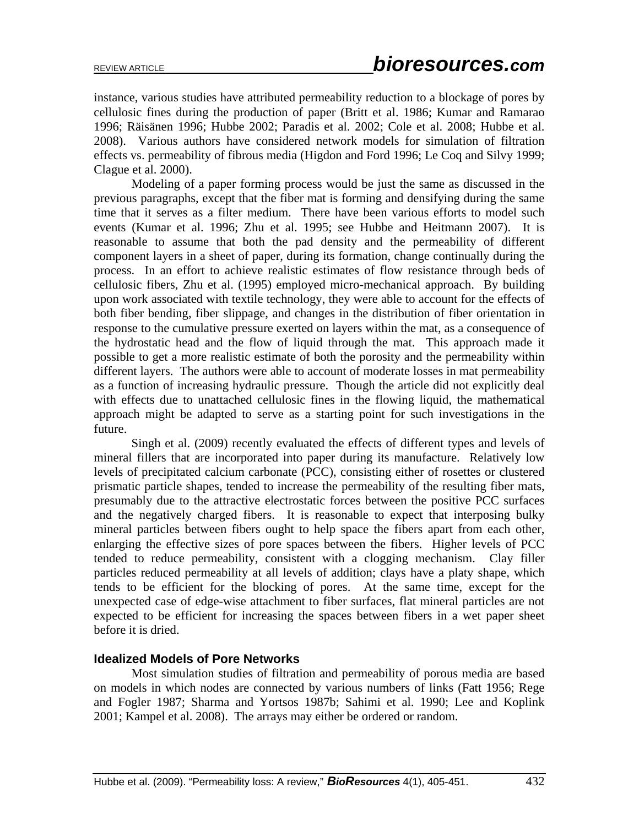instance, various studies have attributed permeability reduction to a blockage of pores by cellulosic fines during the production of paper (Britt et al. 1986; Kumar and Ramarao 1996; Räisänen 1996; Hubbe 2002; Paradis et al. 2002; Cole et al. 2008; Hubbe et al. 2008). Various authors have considered network models for simulation of filtration effects vs. permeability of fibrous media (Higdon and Ford 1996; Le Coq and Silvy 1999; Clague et al. 2000).

Modeling of a paper forming process would be just the same as discussed in the previous paragraphs, except that the fiber mat is forming and densifying during the same time that it serves as a filter medium. There have been various efforts to model such events (Kumar et al. 1996; Zhu et al. 1995; see Hubbe and Heitmann 2007). It is reasonable to assume that both the pad density and the permeability of different component layers in a sheet of paper, during its formation, change continually during the process. In an effort to achieve realistic estimates of flow resistance through beds of cellulosic fibers, Zhu et al. (1995) employed micro-mechanical approach. By building upon work associated with textile technology, they were able to account for the effects of both fiber bending, fiber slippage, and changes in the distribution of fiber orientation in response to the cumulative pressure exerted on layers within the mat, as a consequence of the hydrostatic head and the flow of liquid through the mat. This approach made it possible to get a more realistic estimate of both the porosity and the permeability within different layers. The authors were able to account of moderate losses in mat permeability as a function of increasing hydraulic pressure. Though the article did not explicitly deal with effects due to unattached cellulosic fines in the flowing liquid, the mathematical approach might be adapted to serve as a starting point for such investigations in the future.

Singh et al. (2009) recently evaluated the effects of different types and levels of mineral fillers that are incorporated into paper during its manufacture. Relatively low levels of precipitated calcium carbonate (PCC), consisting either of rosettes or clustered prismatic particle shapes, tended to increase the permeability of the resulting fiber mats, presumably due to the attractive electrostatic forces between the positive PCC surfaces and the negatively charged fibers. It is reasonable to expect that interposing bulky mineral particles between fibers ought to help space the fibers apart from each other, enlarging the effective sizes of pore spaces between the fibers. Higher levels of PCC tended to reduce permeability, consistent with a clogging mechanism. Clay filler particles reduced permeability at all levels of addition; clays have a platy shape, which tends to be efficient for the blocking of pores. At the same time, except for the unexpected case of edge-wise attachment to fiber surfaces, flat mineral particles are not expected to be efficient for increasing the spaces between fibers in a wet paper sheet before it is dried.

# **Idealized Models of Pore Networks**

 Most simulation studies of filtration and permeability of porous media are based on models in which nodes are connected by various numbers of links (Fatt 1956; Rege and Fogler 1987; Sharma and Yortsos 1987b; Sahimi et al. 1990; Lee and Koplink 2001; Kampel et al. 2008). The arrays may either be ordered or random.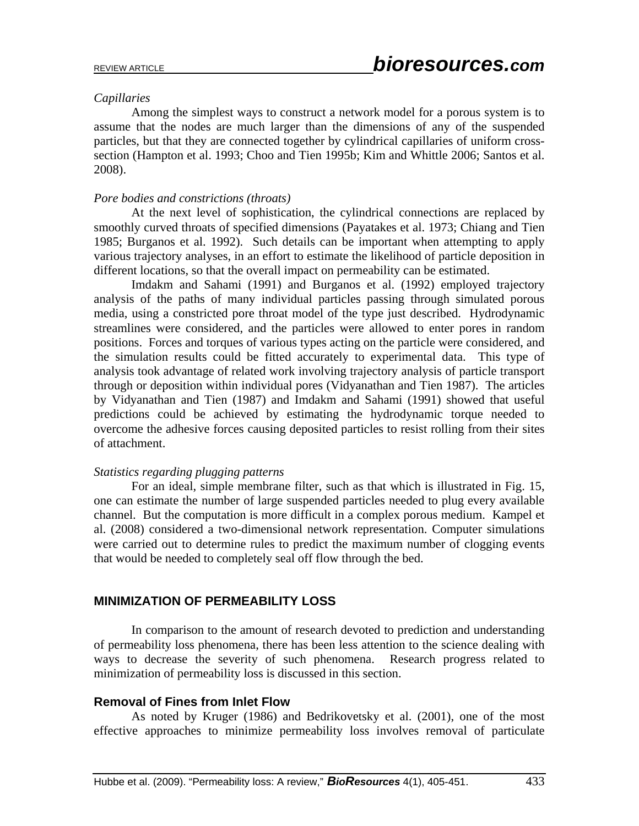#### *Capillaries*

 Among the simplest ways to construct a network model for a porous system is to assume that the nodes are much larger than the dimensions of any of the suspended particles, but that they are connected together by cylindrical capillaries of uniform crosssection (Hampton et al. 1993; Choo and Tien 1995b; Kim and Whittle 2006; Santos et al. 2008).

### *Pore bodies and constrictions (throats)*

 At the next level of sophistication, the cylindrical connections are replaced by smoothly curved throats of specified dimensions (Payatakes et al. 1973; Chiang and Tien 1985; Burganos et al. 1992). Such details can be important when attempting to apply various trajectory analyses, in an effort to estimate the likelihood of particle deposition in different locations, so that the overall impact on permeability can be estimated.

Imdakm and Sahami (1991) and Burganos et al. (1992) employed trajectory analysis of the paths of many individual particles passing through simulated porous media, using a constricted pore throat model of the type just described. Hydrodynamic streamlines were considered, and the particles were allowed to enter pores in random positions. Forces and torques of various types acting on the particle were considered, and the simulation results could be fitted accurately to experimental data. This type of analysis took advantage of related work involving trajectory analysis of particle transport through or deposition within individual pores (Vidyanathan and Tien 1987). The articles by Vidyanathan and Tien (1987) and Imdakm and Sahami (1991) showed that useful predictions could be achieved by estimating the hydrodynamic torque needed to overcome the adhesive forces causing deposited particles to resist rolling from their sites of attachment.

#### *Statistics regarding plugging patterns*

For an ideal, simple membrane filter, such as that which is illustrated in Fig. 15, one can estimate the number of large suspended particles needed to plug every available channel. But the computation is more difficult in a complex porous medium. Kampel et al. (2008) considered a two-dimensional network representation. Computer simulations were carried out to determine rules to predict the maximum number of clogging events that would be needed to completely seal off flow through the bed.

# **MINIMIZATION OF PERMEABILITY LOSS**

In comparison to the amount of research devoted to prediction and understanding of permeability loss phenomena, there has been less attention to the science dealing with ways to decrease the severity of such phenomena. Research progress related to minimization of permeability loss is discussed in this section.

# **Removal of Fines from Inlet Flow**

 As noted by Kruger (1986) and Bedrikovetsky et al. (2001), one of the most effective approaches to minimize permeability loss involves removal of particulate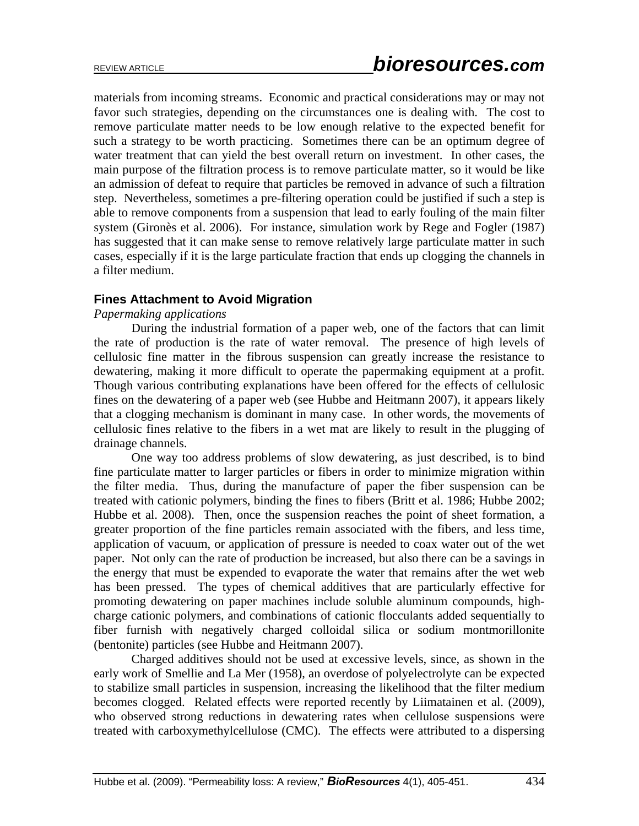materials from incoming streams. Economic and practical considerations may or may not favor such strategies, depending on the circumstances one is dealing with. The cost to remove particulate matter needs to be low enough relative to the expected benefit for such a strategy to be worth practicing. Sometimes there can be an optimum degree of water treatment that can yield the best overall return on investment. In other cases, the main purpose of the filtration process is to remove particulate matter, so it would be like an admission of defeat to require that particles be removed in advance of such a filtration step. Nevertheless, sometimes a pre-filtering operation could be justified if such a step is able to remove components from a suspension that lead to early fouling of the main filter system (Gironès et al. 2006). For instance, simulation work by Rege and Fogler (1987) has suggested that it can make sense to remove relatively large particulate matter in such cases, especially if it is the large particulate fraction that ends up clogging the channels in a filter medium.

#### **Fines Attachment to Avoid Migration**

#### *Papermaking applications*

 During the industrial formation of a paper web, one of the factors that can limit the rate of production is the rate of water removal. The presence of high levels of cellulosic fine matter in the fibrous suspension can greatly increase the resistance to dewatering, making it more difficult to operate the papermaking equipment at a profit. Though various contributing explanations have been offered for the effects of cellulosic fines on the dewatering of a paper web (see Hubbe and Heitmann 2007), it appears likely that a clogging mechanism is dominant in many case. In other words, the movements of cellulosic fines relative to the fibers in a wet mat are likely to result in the plugging of drainage channels.

 One way too address problems of slow dewatering, as just described, is to bind fine particulate matter to larger particles or fibers in order to minimize migration within the filter media. Thus, during the manufacture of paper the fiber suspension can be treated with cationic polymers, binding the fines to fibers (Britt et al. 1986; Hubbe 2002; Hubbe et al. 2008). Then, once the suspension reaches the point of sheet formation, a greater proportion of the fine particles remain associated with the fibers, and less time, application of vacuum, or application of pressure is needed to coax water out of the wet paper. Not only can the rate of production be increased, but also there can be a savings in the energy that must be expended to evaporate the water that remains after the wet web has been pressed. The types of chemical additives that are particularly effective for promoting dewatering on paper machines include soluble aluminum compounds, highcharge cationic polymers, and combinations of cationic flocculants added sequentially to fiber furnish with negatively charged colloidal silica or sodium montmorillonite (bentonite) particles (see Hubbe and Heitmann 2007).

 Charged additives should not be used at excessive levels, since, as shown in the early work of Smellie and La Mer (1958), an overdose of polyelectrolyte can be expected to stabilize small particles in suspension, increasing the likelihood that the filter medium becomes clogged. Related effects were reported recently by Liimatainen et al. (2009), who observed strong reductions in dewatering rates when cellulose suspensions were treated with carboxymethylcellulose (CMC). The effects were attributed to a dispersing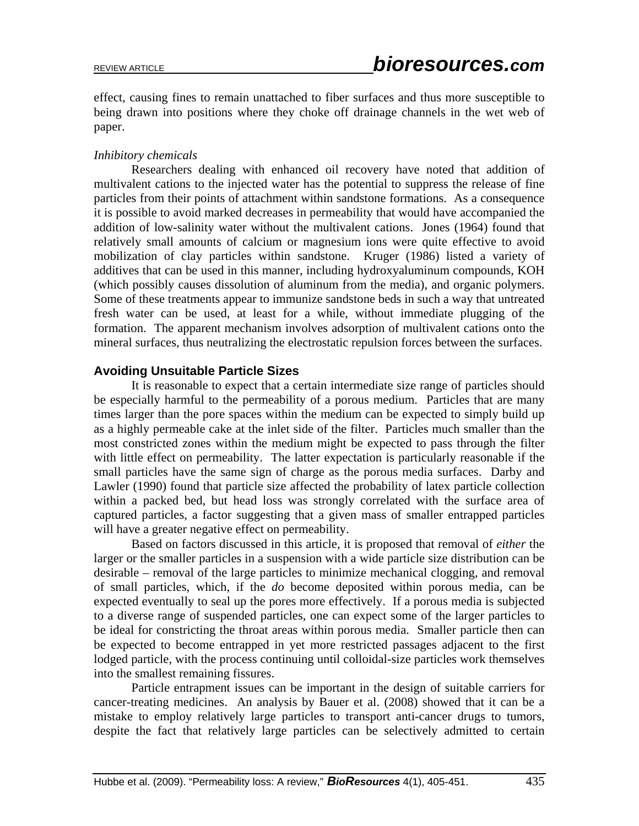effect, causing fines to remain unattached to fiber surfaces and thus more susceptible to being drawn into positions where they choke off drainage channels in the wet web of paper.

# *Inhibitory chemicals*

 Researchers dealing with enhanced oil recovery have noted that addition of multivalent cations to the injected water has the potential to suppress the release of fine particles from their points of attachment within sandstone formations. As a consequence it is possible to avoid marked decreases in permeability that would have accompanied the addition of low-salinity water without the multivalent cations. Jones (1964) found that relatively small amounts of calcium or magnesium ions were quite effective to avoid mobilization of clay particles within sandstone. Kruger (1986) listed a variety of additives that can be used in this manner, including hydroxyaluminum compounds, KOH (which possibly causes dissolution of aluminum from the media), and organic polymers. Some of these treatments appear to immunize sandstone beds in such a way that untreated fresh water can be used, at least for a while, without immediate plugging of the formation. The apparent mechanism involves adsorption of multivalent cations onto the mineral surfaces, thus neutralizing the electrostatic repulsion forces between the surfaces.

# **Avoiding Unsuitable Particle Sizes**

 It is reasonable to expect that a certain intermediate size range of particles should be especially harmful to the permeability of a porous medium. Particles that are many times larger than the pore spaces within the medium can be expected to simply build up as a highly permeable cake at the inlet side of the filter. Particles much smaller than the most constricted zones within the medium might be expected to pass through the filter with little effect on permeability. The latter expectation is particularly reasonable if the small particles have the same sign of charge as the porous media surfaces. Darby and Lawler (1990) found that particle size affected the probability of latex particle collection within a packed bed, but head loss was strongly correlated with the surface area of captured particles, a factor suggesting that a given mass of smaller entrapped particles will have a greater negative effect on permeability.

Based on factors discussed in this article, it is proposed that removal of *either* the larger or the smaller particles in a suspension with a wide particle size distribution can be desirable – removal of the large particles to minimize mechanical clogging, and removal of small particles, which, if the *do* become deposited within porous media, can be expected eventually to seal up the pores more effectively. If a porous media is subjected to a diverse range of suspended particles, one can expect some of the larger particles to be ideal for constricting the throat areas within porous media. Smaller particle then can be expected to become entrapped in yet more restricted passages adjacent to the first lodged particle, with the process continuing until colloidal-size particles work themselves into the smallest remaining fissures.

 Particle entrapment issues can be important in the design of suitable carriers for cancer-treating medicines. An analysis by Bauer et al. (2008) showed that it can be a mistake to employ relatively large particles to transport anti-cancer drugs to tumors, despite the fact that relatively large particles can be selectively admitted to certain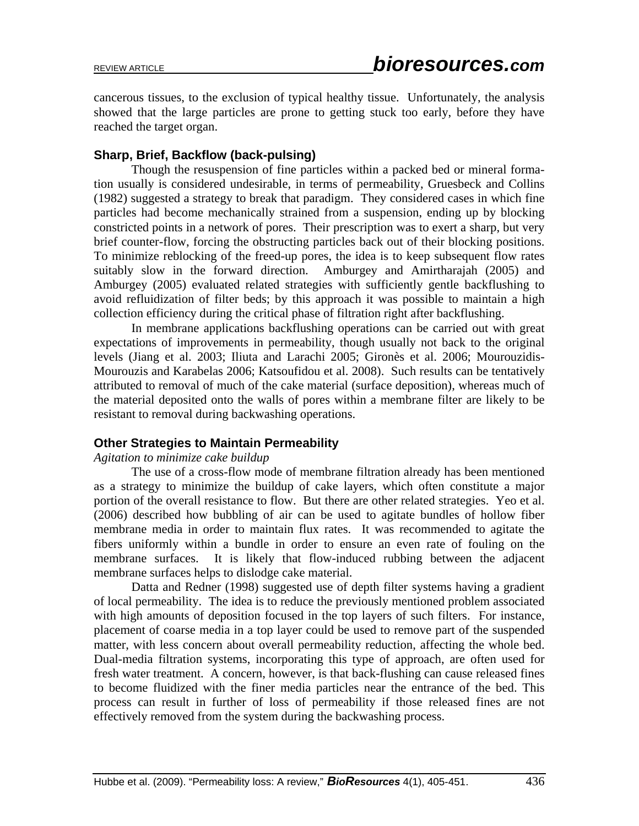cancerous tissues, to the exclusion of typical healthy tissue. Unfortunately, the analysis showed that the large particles are prone to getting stuck too early, before they have reached the target organ.

# **Sharp, Brief, Backflow (back-pulsing)**

 Though the resuspension of fine particles within a packed bed or mineral formation usually is considered undesirable, in terms of permeability, Gruesbeck and Collins (1982) suggested a strategy to break that paradigm. They considered cases in which fine particles had become mechanically strained from a suspension, ending up by blocking constricted points in a network of pores. Their prescription was to exert a sharp, but very brief counter-flow, forcing the obstructing particles back out of their blocking positions. To minimize reblocking of the freed-up pores, the idea is to keep subsequent flow rates suitably slow in the forward direction. Amburgey and Amirtharajah (2005) and Amburgey (2005) evaluated related strategies with sufficiently gentle backflushing to avoid refluidization of filter beds; by this approach it was possible to maintain a high collection efficiency during the critical phase of filtration right after backflushing.

 In membrane applications backflushing operations can be carried out with great expectations of improvements in permeability, though usually not back to the original levels (Jiang et al. 2003; Iliuta and Larachi 2005; Gironès et al. 2006; Mourouzidis-Mourouzis and Karabelas 2006; Katsoufidou et al. 2008). Such results can be tentatively attributed to removal of much of the cake material (surface deposition), whereas much of the material deposited onto the walls of pores within a membrane filter are likely to be resistant to removal during backwashing operations.

#### **Other Strategies to Maintain Permeability**

#### *Agitation to minimize cake buildup*

 The use of a cross-flow mode of membrane filtration already has been mentioned as a strategy to minimize the buildup of cake layers, which often constitute a major portion of the overall resistance to flow. But there are other related strategies. Yeo et al. (2006) described how bubbling of air can be used to agitate bundles of hollow fiber membrane media in order to maintain flux rates. It was recommended to agitate the fibers uniformly within a bundle in order to ensure an even rate of fouling on the membrane surfaces. It is likely that flow-induced rubbing between the adjacent membrane surfaces helps to dislodge cake material.

 Datta and Redner (1998) suggested use of depth filter systems having a gradient of local permeability. The idea is to reduce the previously mentioned problem associated with high amounts of deposition focused in the top layers of such filters. For instance, placement of coarse media in a top layer could be used to remove part of the suspended matter, with less concern about overall permeability reduction, affecting the whole bed. Dual-media filtration systems, incorporating this type of approach, are often used for fresh water treatment. A concern, however, is that back-flushing can cause released fines to become fluidized with the finer media particles near the entrance of the bed. This process can result in further of loss of permeability if those released fines are not effectively removed from the system during the backwashing process.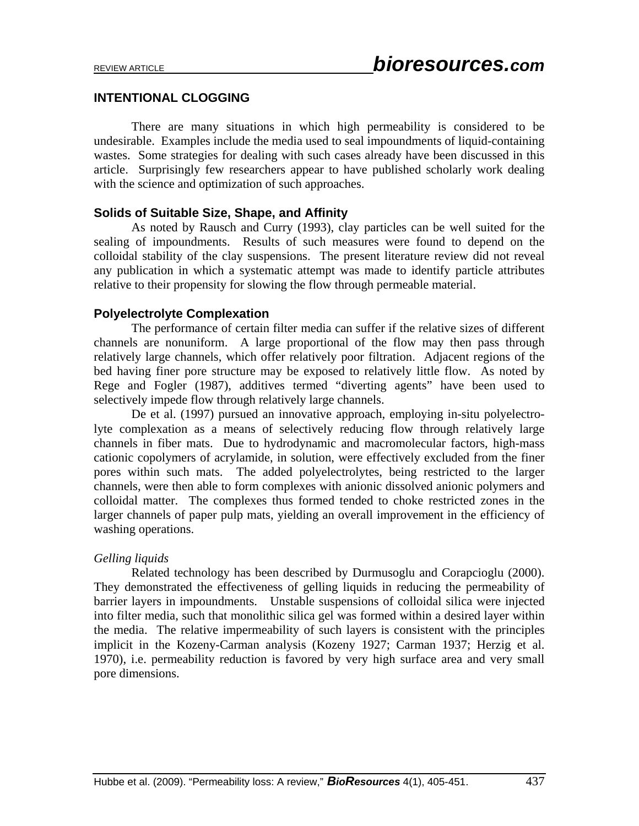# **INTENTIONAL CLOGGING**

 There are many situations in which high permeability is considered to be undesirable. Examples include the media used to seal impoundments of liquid-containing wastes. Some strategies for dealing with such cases already have been discussed in this article. Surprisingly few researchers appear to have published scholarly work dealing with the science and optimization of such approaches.

# **Solids of Suitable Size, Shape, and Affinity**

 As noted by Rausch and Curry (1993), clay particles can be well suited for the sealing of impoundments. Results of such measures were found to depend on the colloidal stability of the clay suspensions. The present literature review did not reveal any publication in which a systematic attempt was made to identify particle attributes relative to their propensity for slowing the flow through permeable material.

# **Polyelectrolyte Complexation**

 The performance of certain filter media can suffer if the relative sizes of different channels are nonuniform. A large proportional of the flow may then pass through relatively large channels, which offer relatively poor filtration. Adjacent regions of the bed having finer pore structure may be exposed to relatively little flow. As noted by Rege and Fogler (1987), additives termed "diverting agents" have been used to selectively impede flow through relatively large channels.

 De et al. (1997) pursued an innovative approach, employing in-situ polyelectrolyte complexation as a means of selectively reducing flow through relatively large channels in fiber mats. Due to hydrodynamic and macromolecular factors, high-mass cationic copolymers of acrylamide, in solution, were effectively excluded from the finer pores within such mats. The added polyelectrolytes, being restricted to the larger channels, were then able to form complexes with anionic dissolved anionic polymers and colloidal matter. The complexes thus formed tended to choke restricted zones in the larger channels of paper pulp mats, yielding an overall improvement in the efficiency of washing operations.

# *Gelling liquids*

 Related technology has been described by Durmusoglu and Corapcioglu (2000). They demonstrated the effectiveness of gelling liquids in reducing the permeability of barrier layers in impoundments. Unstable suspensions of colloidal silica were injected into filter media, such that monolithic silica gel was formed within a desired layer within the media. The relative impermeability of such layers is consistent with the principles implicit in the Kozeny-Carman analysis (Kozeny 1927; Carman 1937; Herzig et al. 1970), i.e. permeability reduction is favored by very high surface area and very small pore dimensions.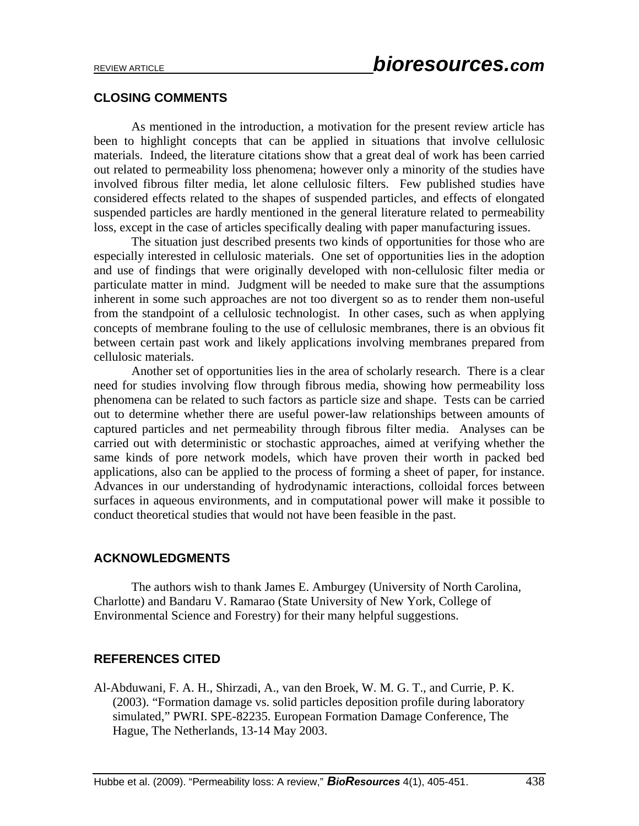# **CLOSING COMMENTS**

 As mentioned in the introduction, a motivation for the present review article has been to highlight concepts that can be applied in situations that involve cellulosic materials. Indeed, the literature citations show that a great deal of work has been carried out related to permeability loss phenomena; however only a minority of the studies have involved fibrous filter media, let alone cellulosic filters. Few published studies have considered effects related to the shapes of suspended particles, and effects of elongated suspended particles are hardly mentioned in the general literature related to permeability loss, except in the case of articles specifically dealing with paper manufacturing issues.

 The situation just described presents two kinds of opportunities for those who are especially interested in cellulosic materials. One set of opportunities lies in the adoption and use of findings that were originally developed with non-cellulosic filter media or particulate matter in mind. Judgment will be needed to make sure that the assumptions inherent in some such approaches are not too divergent so as to render them non-useful from the standpoint of a cellulosic technologist. In other cases, such as when applying concepts of membrane fouling to the use of cellulosic membranes, there is an obvious fit between certain past work and likely applications involving membranes prepared from cellulosic materials.

 Another set of opportunities lies in the area of scholarly research. There is a clear need for studies involving flow through fibrous media, showing how permeability loss phenomena can be related to such factors as particle size and shape. Tests can be carried out to determine whether there are useful power-law relationships between amounts of captured particles and net permeability through fibrous filter media. Analyses can be carried out with deterministic or stochastic approaches, aimed at verifying whether the same kinds of pore network models, which have proven their worth in packed bed applications, also can be applied to the process of forming a sheet of paper, for instance. Advances in our understanding of hydrodynamic interactions, colloidal forces between surfaces in aqueous environments, and in computational power will make it possible to conduct theoretical studies that would not have been feasible in the past.

# **ACKNOWLEDGMENTS**

 The authors wish to thank James E. Amburgey (University of North Carolina, Charlotte) and Bandaru V. Ramarao (State University of New York, College of Environmental Science and Forestry) for their many helpful suggestions.

# **REFERENCES CITED**

Al-Abduwani, F. A. H., Shirzadi, A., van den Broek, W. M. G. T., and Currie, P. K. (2003). "Formation damage vs. solid particles deposition profile during laboratory simulated," PWRI. SPE-82235. European Formation Damage Conference, The Hague, The Netherlands, 13-14 May 2003.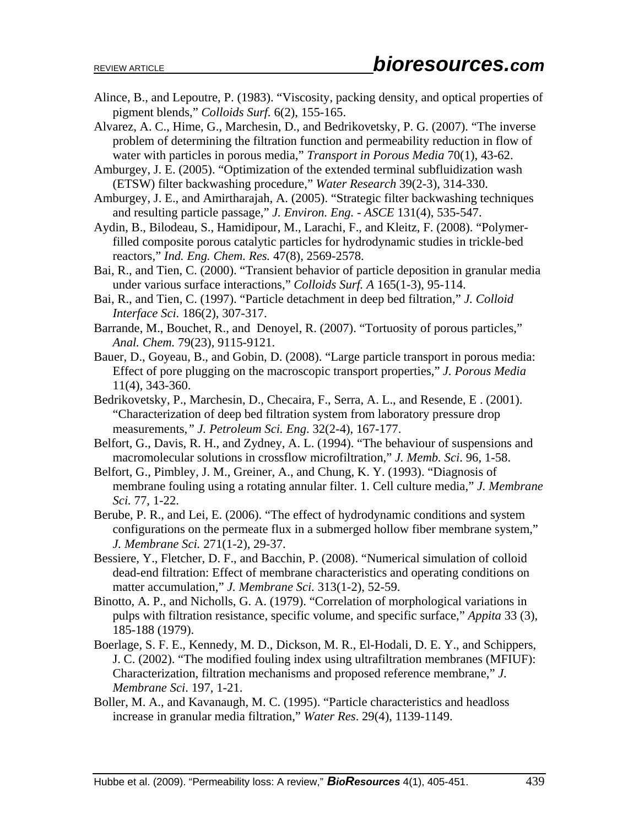- Alince, B., and Lepoutre, P. (1983). "Viscosity, packing density, and optical properties of pigment blends," *Colloids Surf.* 6(2), 155-165.
- Alvarez, A. C., Hime, G., Marchesin, D., and Bedrikovetsky, P. G. (2007). "The inverse problem of determining the filtration function and permeability reduction in flow of water with particles in porous media," *Transport in Porous Media* 70(1), 43-62.
- Amburgey, J. E. (2005). "Optimization of the extended terminal subfluidization wash (ETSW) filter backwashing procedure," *Water Research* 39(2-3), 314-330.
- Amburgey, J. E., and Amirtharajah, A. (2005). "Strategic filter backwashing techniques and resulting particle passage," *J. Environ. Eng. - ASCE* 131(4), 535-547.
- Aydin, B., Bilodeau, S., Hamidipour, M., Larachi, F., and Kleitz, F. (2008). "Polymerfilled composite porous catalytic particles for hydrodynamic studies in trickle-bed reactors," *Ind. Eng. Chem. Res.* 47(8), 2569-2578.
- Bai, R., and Tien, C. (2000). "Transient behavior of particle deposition in granular media under various surface interactions," *Colloids Surf. A* 165(1-3), 95-114.
- Bai, R., and Tien, C. (1997). "Particle detachment in deep bed filtration," *J. Colloid Interface Sci.* 186(2), 307-317.
- Barrande, M., Bouchet, R., and Denoyel, R. (2007). "Tortuosity of porous particles," *Anal. Chem.* 79(23), 9115-9121.
- Bauer, D., Goyeau, B., and Gobin, D. (2008). "Large particle transport in porous media: Effect of pore plugging on the macroscopic transport properties," *J. Porous Media* 11(4), 343-360.
- Bedrikovetsky, P., Marchesin, D., Checaira, F., Serra, A. L., and Resende, E . (2001). "Characterization of deep bed filtration system from laboratory pressure drop measurements*," J. Petroleum Sci. Eng*. 32(2-4), 167-177.
- Belfort, G., Davis, R. H., and Zydney, A. L. (1994). "The behaviour of suspensions and macromolecular solutions in crossflow microfiltration," *J. Memb. Sci*. 96, 1-58.
- Belfort, G., Pimbley, J. M., Greiner, A., and Chung, K. Y. (1993). "Diagnosis of membrane fouling using a rotating annular filter. 1. Cell culture media," *J. Membrane Sci.* 77, 1-22.
- Berube, P. R., and Lei, E. (2006). "The effect of hydrodynamic conditions and system configurations on the permeate flux in a submerged hollow fiber membrane system," *J. Membrane Sci.* 271(1-2), 29-37.
- Bessiere, Y., Fletcher, D. F., and Bacchin, P. (2008). "Numerical simulation of colloid dead-end filtration: Effect of membrane characteristics and operating conditions on matter accumulation," *J. Membrane Sci.* 313(1-2), 52-59.
- Binotto, A. P., and Nicholls, G. A. (1979). "Correlation of morphological variations in pulps with filtration resistance, specific volume, and specific surface," *Appita* 33 (3), 185-188 (1979).
- Boerlage, S. F. E., Kennedy, M. D., Dickson, M. R., El-Hodali, D. E. Y., and Schippers, J. C. (2002). "The modified fouling index using ultrafiltration membranes (MFIUF): Characterization, filtration mechanisms and proposed reference membrane," *J. Membrane Sci*. 197, 1-21.
- Boller, M. A., and Kavanaugh, M. C. (1995). "Particle characteristics and headloss increase in granular media filtration," *Water Res*. 29(4), 1139-1149.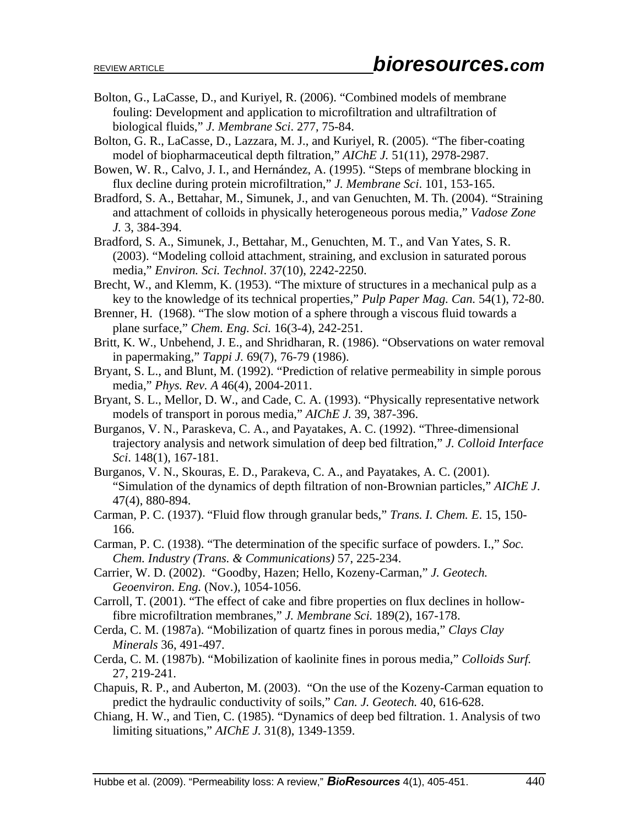- Bolton, G., LaCasse, D., and Kuriyel, R. (2006). "Combined models of membrane fouling: Development and application to microfiltration and ultrafiltration of biological fluids," *J. Membrane Sci*. 277, 75-84.
- Bolton, G. R., LaCasse, D., Lazzara, M. J., and Kuriyel, R. (2005). "The fiber-coating model of biopharmaceutical depth filtration," *AIChE J.* 51(11), 2978-2987.
- Bowen, W. R., Calvo, J. I., and Hernández, A. (1995). "Steps of membrane blocking in flux decline during protein microfiltration," *J. Membrane Sci*. 101, 153-165.
- Bradford, S. A., Bettahar, M., Simunek, J., and van Genuchten, M. Th. (2004). "Straining and attachment of colloids in physically heterogeneous porous media," *Vadose Zone J.* 3, 384-394.
- Bradford, S. A., Simunek, J., Bettahar, M., Genuchten, M. T., and Van Yates, S. R. (2003). "Modeling colloid attachment, straining, and exclusion in saturated porous media," *Environ. Sci. Technol*. 37(10), 2242-2250.
- Brecht, W., and Klemm, K. (1953). "The mixture of structures in a mechanical pulp as a key to the knowledge of its technical properties," *Pulp Paper Mag. Can.* 54(1), 72-80.
- Brenner, H. (1968). "The slow motion of a sphere through a viscous fluid towards a plane surface," *Chem. Eng. Sci.* 16(3-4), 242-251.
- Britt, K. W., Unbehend, J. E., and Shridharan, R. (1986). "Observations on water removal in papermaking," *Tappi J.* 69(7), 76-79 (1986).
- Bryant, S. L., and Blunt, M. (1992). "Prediction of relative permeability in simple porous media," *Phys. Rev. A* 46(4), 2004-2011.
- Bryant, S. L., Mellor, D. W., and Cade, C. A. (1993). "Physically representative network models of transport in porous media," *AIChE J.* 39, 387-396.
- Burganos, V. N., Paraskeva, C. A., and Payatakes, A. C. (1992). "Three-dimensional trajectory analysis and network simulation of deep bed filtration," *J. Colloid Interface Sci*. 148(1), 167-181.
- Burganos, V. N., Skouras, E. D., Parakeva, C. A., and Payatakes, A. C. (2001). "Simulation of the dynamics of depth filtration of non-Brownian particles," *AIChE J*. 47(4), 880-894.
- Carman, P. C. (1937). "Fluid flow through granular beds," *Trans. I. Chem. E*. 15, 150- 166.
- Carman, P. C. (1938). "The determination of the specific surface of powders. I.," *Soc. Chem. Industry (Trans. & Communications)* 57, 225-234.
- Carrier, W. D. (2002). "Goodby, Hazen; Hello, Kozeny-Carman," *J. Geotech. Geoenviron. Eng.* (Nov.), 1054-1056.
- Carroll, T. (2001). "The effect of cake and fibre properties on flux declines in hollowfibre microfiltration membranes," *J. Membrane Sci.* 189(2), 167-178.
- Cerda, C. M. (1987a). "Mobilization of quartz fines in porous media," *Clays Clay Minerals* 36, 491-497.
- Cerda, C. M. (1987b). "Mobilization of kaolinite fines in porous media," *Colloids Surf.* 27, 219-241.
- Chapuis, R. P., and Auberton, M. (2003). "On the use of the Kozeny-Carman equation to predict the hydraulic conductivity of soils," *Can. J. Geotech.* 40, 616-628.
- Chiang, H. W., and Tien, C. (1985). "Dynamics of deep bed filtration. 1. Analysis of two limiting situations," *AIChE J.* 31(8), 1349-1359.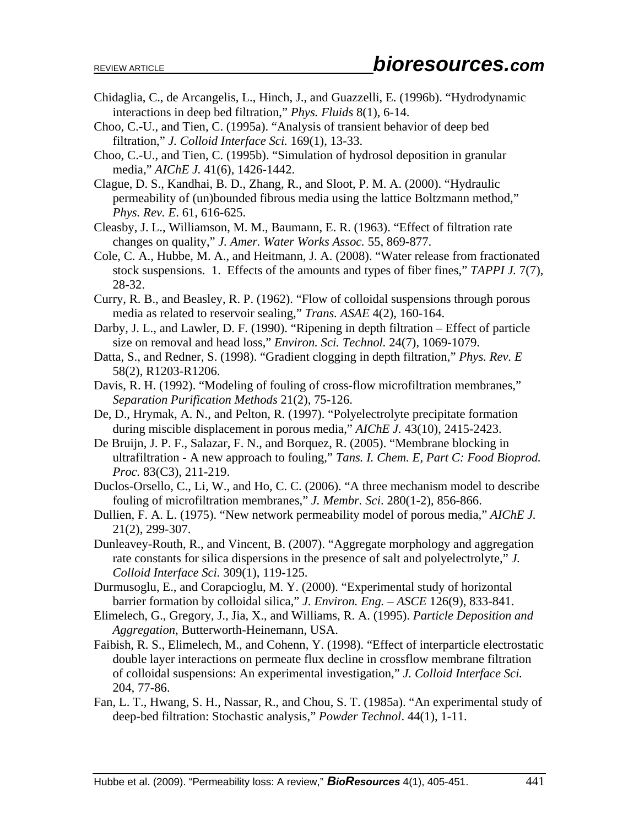- Chidaglia, C., de Arcangelis, L., Hinch, J., and Guazzelli, E. (1996b). "Hydrodynamic interactions in deep bed filtration," *Phys. Fluids* 8(1), 6-14.
- Choo, C.-U., and Tien, C. (1995a). "Analysis of transient behavior of deep bed filtration," *J. Colloid Interface Sci.* 169(1), 13-33.
- Choo, C.-U., and Tien, C. (1995b). "Simulation of hydrosol deposition in granular media," *AIChE J.* 41(6), 1426-1442.
- Clague, D. S., Kandhai, B. D., Zhang, R., and Sloot, P. M. A. (2000). "Hydraulic permeability of (un)bounded fibrous media using the lattice Boltzmann method," *Phys. Rev. E*. 61, 616-625.
- Cleasby, J. L., Williamson, M. M., Baumann, E. R. (1963). "Effect of filtration rate changes on quality," *J. Amer. Water Works Assoc.* 55, 869-877.
- Cole, C. A., Hubbe, M. A., and Heitmann, J. A. (2008). "Water release from fractionated stock suspensions. 1. Effects of the amounts and types of fiber fines," *TAPPI J.* 7(7), 28-32.
- Curry, R. B., and Beasley, R. P. (1962). "Flow of colloidal suspensions through porous media as related to reservoir sealing," *Trans. ASAE* 4(2), 160-164.
- Darby, J. L., and Lawler, D. F. (1990). "Ripening in depth filtration Effect of particle size on removal and head loss," *Environ. Sci. Technol.* 24(7), 1069-1079.
- Datta, S., and Redner, S. (1998). "Gradient clogging in depth filtration," *Phys. Rev. E* 58(2), R1203-R1206.
- Davis, R. H. (1992). "Modeling of fouling of cross-flow microfiltration membranes," *Separation Purification Methods* 21(2), 75-126.
- De, D., Hrymak, A. N., and Pelton, R. (1997). "Polyelectrolyte precipitate formation during miscible displacement in porous media," *AIChE J.* 43(10), 2415-2423.
- De Bruijn, J. P. F., Salazar, F. N., and Borquez, R. (2005). "Membrane blocking in ultrafiltration - A new approach to fouling," *Tans. I. Chem. E, Part C: Food Bioprod. Proc.* 83(C3), 211-219.
- Duclos-Orsello, C., Li, W., and Ho, C. C. (2006). "A three mechanism model to describe fouling of microfiltration membranes," *J. Membr. Sci*. 280(1-2), 856-866.
- Dullien, F. A. L. (1975). "New network permeability model of porous media," *AIChE J.* 21(2), 299-307.
- Dunleavey-Routh, R., and Vincent, B. (2007). "Aggregate morphology and aggregation rate constants for silica dispersions in the presence of salt and polyelectrolyte," *J. Colloid Interface Sci.* 309(1), 119-125.
- Durmusoglu, E., and Corapcioglu, M. Y. (2000). "Experimental study of horizontal barrier formation by colloidal silica," *J. Environ. Eng. – ASCE* 126(9), 833-841.
- Elimelech, G., Gregory, J., Jia, X., and Williams, R. A. (1995). *Particle Deposition and Aggregation*, Butterworth-Heinemann, USA.
- Faibish, R. S., Elimelech, M., and Cohenn, Y. (1998). "Effect of interparticle electrostatic double layer interactions on permeate flux decline in crossflow membrane filtration of colloidal suspensions: An experimental investigation," *J. Colloid Interface Sci.* 204, 77-86.
- Fan, L. T., Hwang, S. H., Nassar, R., and Chou, S. T. (1985a). "An experimental study of deep-bed filtration: Stochastic analysis," *Powder Technol*. 44(1), 1-11.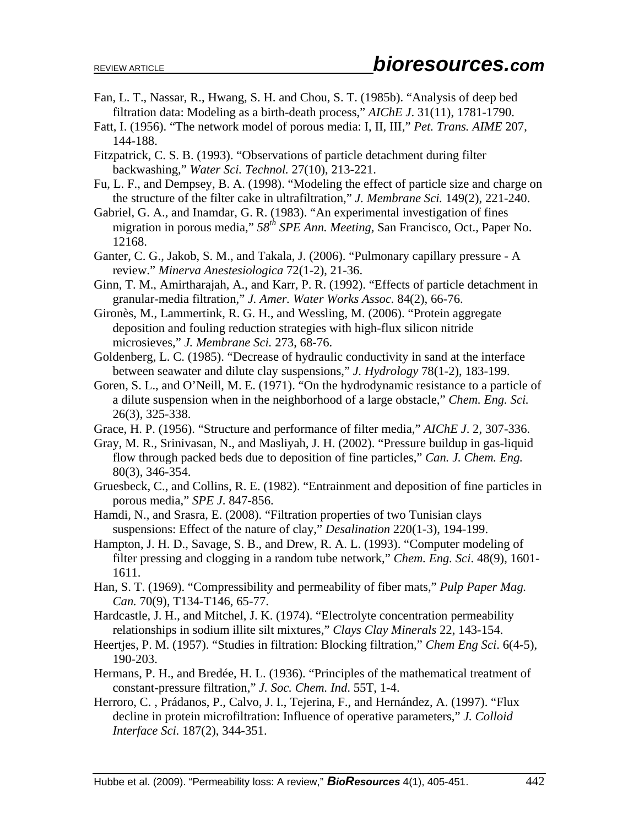- Fan, L. T., Nassar, R., Hwang, S. H. and Chou, S. T. (1985b). "Analysis of deep bed filtration data: Modeling as a birth-death process," *AIChE J*. 31(11), 1781-1790.
- Fatt, I. (1956). "The network model of porous media: I, II, III," *Pet. Trans. AIME* 207, 144-188.
- Fitzpatrick, C. S. B. (1993). "Observations of particle detachment during filter backwashing," *Water Sci. Technol.* 27(10), 213-221.
- Fu, L. F., and Dempsey, B. A. (1998). "Modeling the effect of particle size and charge on the structure of the filter cake in ultrafiltration," *J. Membrane Sci.* 149(2), 221-240.
- Gabriel, G. A., and Inamdar, G. R. (1983). "An experimental investigation of fines migration in porous media," *58th SPE Ann. Meeting,* San Francisco, Oct., Paper No. 12168.
- Ganter, C. G., Jakob, S. M., and Takala, J. (2006). "Pulmonary capillary pressure A review." *Minerva Anestesiologica* 72(1-2), 21-36.
- Ginn, T. M., Amirtharajah, A., and Karr, P. R. (1992). "Effects of particle detachment in granular-media filtration," *J. Amer. Water Works Assoc.* 84(2), 66-76.
- Gironès, M., Lammertink, R. G. H., and Wessling, M. (2006). "Protein aggregate deposition and fouling reduction strategies with high-flux silicon nitride microsieves," *J. Membrane Sci.* 273, 68-76.
- Goldenberg, L. C. (1985). "Decrease of hydraulic conductivity in sand at the interface between seawater and dilute clay suspensions," *J. Hydrology* 78(1-2), 183-199.
- Goren, S. L., and O'Neill, M. E. (1971). "On the hydrodynamic resistance to a particle of a dilute suspension when in the neighborhood of a large obstacle," *Chem. Eng. Sci.* 26(3), 325-338.
- Grace, H. P. (1956). "Structure and performance of filter media," *AIChE J*. 2, 307-336.
- Gray, M. R., Srinivasan, N., and Masliyah, J. H. (2002). "Pressure buildup in gas-liquid flow through packed beds due to deposition of fine particles," *Can. J. Chem. Eng.* 80(3), 346-354.
- Gruesbeck, C., and Collins, R. E. (1982). "Entrainment and deposition of fine particles in porous media," *SPE J*. 847-856.
- Hamdi, N., and Srasra, E. (2008). "Filtration properties of two Tunisian clays suspensions: Effect of the nature of clay," *Desalination* 220(1-3), 194-199.
- Hampton, J. H. D., Savage, S. B., and Drew, R. A. L. (1993). "Computer modeling of filter pressing and clogging in a random tube network," *Chem. Eng. Sci*. 48(9), 1601- 1611.
- Han, S. T. (1969). "Compressibility and permeability of fiber mats," *Pulp Paper Mag. Can.* 70(9), T134-T146, 65-77.
- Hardcastle, J. H., and Mitchel, J. K. (1974). "Electrolyte concentration permeability relationships in sodium illite silt mixtures," *Clays Clay Minerals* 22, 143-154.
- Heertjes, P. M. (1957). "Studies in filtration: Blocking filtration," *Chem Eng Sci*. 6(4-5), 190-203.
- Hermans, P. H., and Bredée, H. L. (1936). "Principles of the mathematical treatment of constant-pressure filtration," *J. Soc. Chem. Ind*. 55T, 1-4.
- Herroro, C. , Prádanos, P., Calvo, J. I., Tejerina, F., and Hernández, A. (1997). "Flux decline in protein microfiltration: Influence of operative parameters," *J. Colloid Interface Sci.* 187(2), 344-351.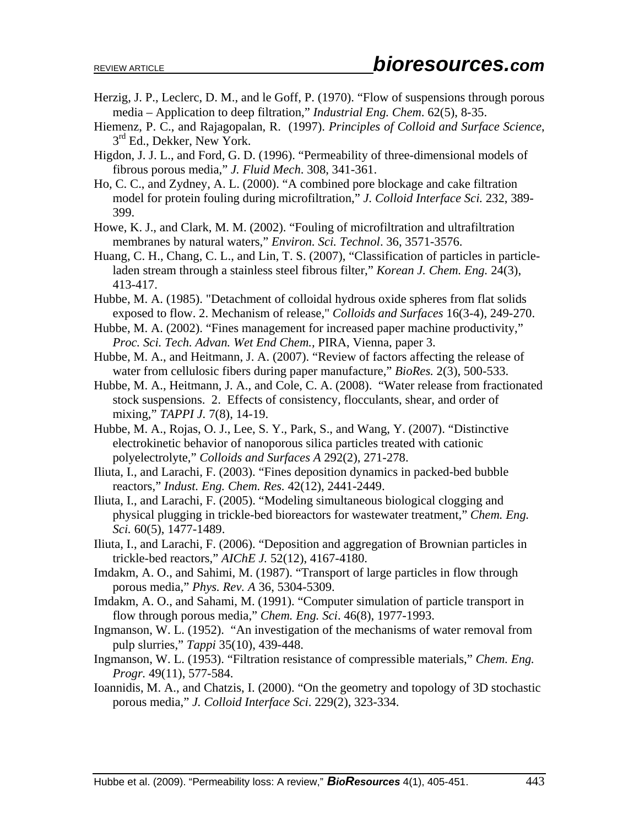- Herzig, J. P., Leclerc, D. M., and le Goff, P. (1970). "Flow of suspensions through porous media – Application to deep filtration," *Industrial Eng. Chem*. 62(5), 8-35.
- Hiemenz, P. C., and Rajagopalan, R. (1997). *Principles of Colloid and Surface Science*,  $3<sup>rd</sup>$  Ed., Dekker, New York.
- Higdon, J. J. L., and Ford, G. D. (1996). "Permeability of three-dimensional models of fibrous porous media," *J. Fluid Mech*. 308, 341-361.
- Ho, C. C., and Zydney, A. L. (2000). "A combined pore blockage and cake filtration model for protein fouling during microfiltration," *J. Colloid Interface Sci.* 232, 389- 399.
- Howe, K. J., and Clark, M. M. (2002). "Fouling of microfiltration and ultrafiltration membranes by natural waters," *Environ. Sci. Technol*. 36, 3571-3576.
- Huang, C. H., Chang, C. L., and Lin, T. S. (2007), "Classification of particles in particleladen stream through a stainless steel fibrous filter," *Korean J. Chem. Eng.* 24(3), 413-417.
- Hubbe, M. A. (1985). "Detachment of colloidal hydrous oxide spheres from flat solids exposed to flow. 2. Mechanism of release," *Colloids and Surfaces* 16(3-4), 249-270.
- Hubbe, M. A. (2002). "Fines management for increased paper machine productivity," *Proc. Sci. Tech. Advan. Wet End Chem.,* PIRA, Vienna, paper 3.
- Hubbe, M. A., and Heitmann, J. A. (2007). "Review of factors affecting the release of water from cellulosic fibers during paper manufacture," *BioRes.* 2(3), 500-533.
- Hubbe, M. A., Heitmann, J. A., and Cole, C. A. (2008). "Water release from fractionated stock suspensions. 2. Effects of consistency, flocculants, shear, and order of mixing," *TAPPI J.* 7(8), 14-19.
- Hubbe, M. A., Rojas, O. J., Lee, S. Y., Park, S., and Wang, Y. (2007). "Distinctive electrokinetic behavior of nanoporous silica particles treated with cationic polyelectrolyte," *Colloids and Surfaces A* 292(2), 271-278.
- Iliuta, I., and Larachi, F. (2003). "Fines deposition dynamics in packed-bed bubble reactors," *Indust. Eng. Chem. Res.* 42(12), 2441-2449.
- Iliuta, I., and Larachi, F. (2005). "Modeling simultaneous biological clogging and physical plugging in trickle-bed bioreactors for wastewater treatment," *Chem. Eng. Sci.* 60(5), 1477-1489.
- Iliuta, I., and Larachi, F. (2006). "Deposition and aggregation of Brownian particles in trickle-bed reactors," *AIChE J.* 52(12), 4167-4180.
- Imdakm, A. O., and Sahimi, M. (1987). "Transport of large particles in flow through porous media," *Phys. Rev. A* 36, 5304-5309.
- Imdakm, A. O., and Sahami, M. (1991). "Computer simulation of particle transport in flow through porous media," *Chem. Eng. Sci*. 46(8), 1977-1993.
- Ingmanson, W. L. (1952). "An investigation of the mechanisms of water removal from pulp slurries," *Tappi* 35(10), 439-448.
- Ingmanson, W. L. (1953). "Filtration resistance of compressible materials," *Chem. Eng. Progr.* 49(11), 577-584.
- Ioannidis, M. A., and Chatzis, I. (2000). "On the geometry and topology of 3D stochastic porous media," *J. Colloid Interface Sci*. 229(2), 323-334.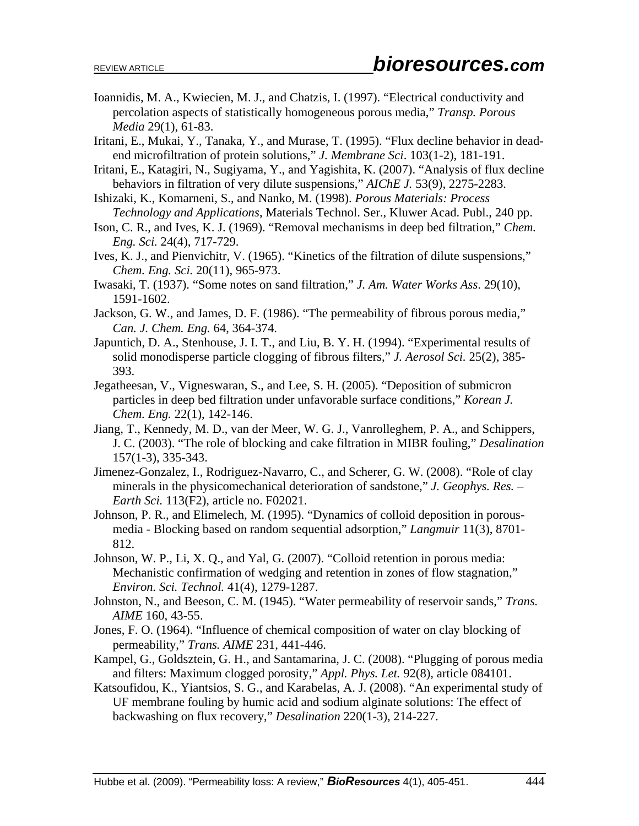- Ioannidis, M. A., Kwiecien, M. J., and Chatzis, I. (1997). "Electrical conductivity and percolation aspects of statistically homogeneous porous media," *Transp. Porous Media* 29(1), 61-83.
- Iritani, E., Mukai, Y., Tanaka, Y., and Murase, T. (1995). "Flux decline behavior in deadend microfiltration of protein solutions," *J. Membrane Sci*. 103(1-2), 181-191.
- Iritani, E., Katagiri, N., Sugiyama, Y., and Yagishita, K. (2007). "Analysis of flux decline behaviors in filtration of very dilute suspensions," *AIChE J.* 53(9), 2275-2283.
- Ishizaki, K., Komarneni, S., and Nanko, M. (1998). *Porous Materials: Process Technology and Applications*, Materials Technol. Ser., Kluwer Acad. Publ., 240 pp.
- Ison, C. R., and Ives, K. J. (1969). "Removal mechanisms in deep bed filtration," *Chem. Eng. Sci.* 24(4), 717-729.
- Ives, K. J., and Pienvichitr, V. (1965). "Kinetics of the filtration of dilute suspensions," *Chem. Eng. Sci.* 20(11), 965-973.
- Iwasaki, T. (1937). "Some notes on sand filtration," *J. Am. Water Works Ass*. 29(10), 1591-1602.
- Jackson, G. W., and James, D. F. (1986). "The permeability of fibrous porous media," *Can. J. Chem. Eng.* 64, 364-374.
- Japuntich, D. A., Stenhouse, J. I. T., and Liu, B. Y. H. (1994). "Experimental results of solid monodisperse particle clogging of fibrous filters," *J. Aerosol Sci.* 25(2), 385- 393.
- Jegatheesan, V., Vigneswaran, S., and Lee, S. H. (2005). "Deposition of submicron particles in deep bed filtration under unfavorable surface conditions," *Korean J. Chem. Eng.* 22(1), 142-146.
- Jiang, T., Kennedy, M. D., van der Meer, W. G. J., Vanrolleghem, P. A., and Schippers, J. C. (2003). "The role of blocking and cake filtration in MIBR fouling," *Desalination* 157(1-3), 335-343.
- Jimenez-Gonzalez, I., Rodriguez-Navarro, C., and Scherer, G. W. (2008). "Role of clay minerals in the physicomechanical deterioration of sandstone," *J. Geophys. Res. – Earth Sci.* 113(F2), article no. F02021.
- Johnson, P. R., and Elimelech, M. (1995). "Dynamics of colloid deposition in porousmedia - Blocking based on random sequential adsorption," *Langmuir* 11(3), 8701- 812.
- Johnson, W. P., Li, X. Q., and Yal, G. (2007). "Colloid retention in porous media: Mechanistic confirmation of wedging and retention in zones of flow stagnation," *Environ. Sci. Technol.* 41(4), 1279-1287.
- Johnston, N., and Beeson, C. M. (1945). "Water permeability of reservoir sands," *Trans. AIME* 160, 43-55.
- Jones, F. O. (1964). "Influence of chemical composition of water on clay blocking of permeability," *Trans. AIME* 231, 441-446.
- Kampel, G., Goldsztein, G. H., and Santamarina, J. C. (2008). "Plugging of porous media and filters: Maximum clogged porosity," *Appl. Phys. Let.* 92(8), article 084101.
- Katsoufidou, K., Yiantsios, S. G., and Karabelas, A. J. (2008). "An experimental study of UF membrane fouling by humic acid and sodium alginate solutions: The effect of backwashing on flux recovery," *Desalination* 220(1-3), 214-227.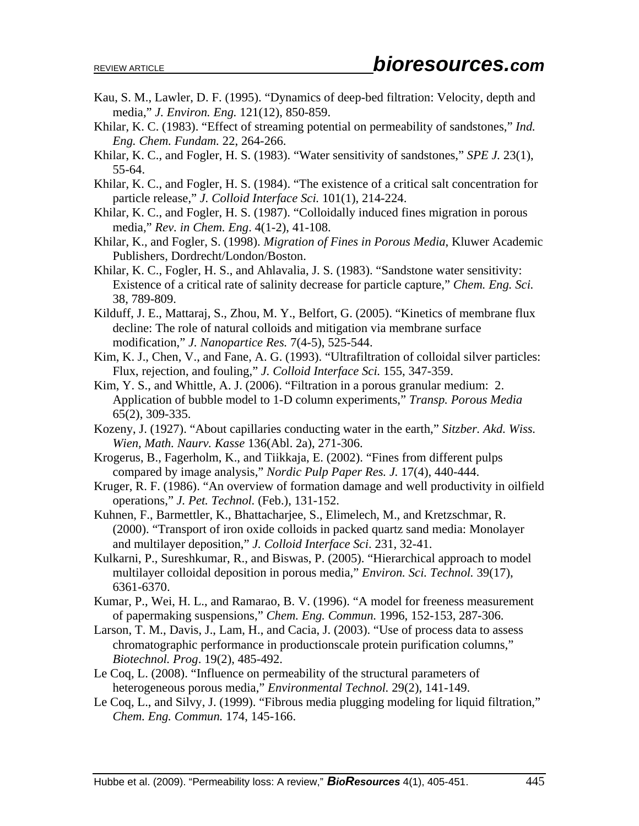- Kau, S. M., Lawler, D. F. (1995). "Dynamics of deep-bed filtration: Velocity, depth and media," *J. Environ. Eng.* 121(12), 850-859.
- Khilar, K. C. (1983). "Effect of streaming potential on permeability of sandstones," *Ind. Eng. Chem. Fundam.* 22, 264-266.
- Khilar, K. C., and Fogler, H. S. (1983). "Water sensitivity of sandstones," *SPE J.* 23(1), 55-64.
- Khilar, K. C., and Fogler, H. S. (1984). "The existence of a critical salt concentration for particle release," *J. Colloid Interface Sci.* 101(1), 214-224.
- Khilar, K. C., and Fogler, H. S. (1987). "Colloidally induced fines migration in porous media," *Rev. in Chem. Eng*. 4(1-2), 41-108.
- Khilar, K., and Fogler, S. (1998). *Migration of Fines in Porous Media*, Kluwer Academic Publishers, Dordrecht/London/Boston.
- Khilar, K. C., Fogler, H. S., and Ahlavalia, J. S. (1983). "Sandstone water sensitivity: Existence of a critical rate of salinity decrease for particle capture," *Chem. Eng. Sci.* 38, 789-809.
- Kilduff, J. E., Mattaraj, S., Zhou, M. Y., Belfort, G. (2005). "Kinetics of membrane flux decline: The role of natural colloids and mitigation via membrane surface modification," *J. Nanopartice Res.* 7(4-5), 525-544.
- Kim, K. J., Chen, V., and Fane, A. G. (1993). "Ultrafiltration of colloidal silver particles: Flux, rejection, and fouling," *J. Colloid Interface Sci.* 155, 347-359.
- Kim, Y. S., and Whittle, A. J. (2006). "Filtration in a porous granular medium: 2. Application of bubble model to 1-D column experiments," *Transp. Porous Media* 65(2), 309-335.
- Kozeny, J. (1927). "About capillaries conducting water in the earth," *Sitzber. Akd. Wiss. Wien, Math. Naurv. Kasse* 136(Abl. 2a), 271-306.
- Krogerus, B., Fagerholm, K., and Tiikkaja, E. (2002). "Fines from different pulps compared by image analysis," *Nordic Pulp Paper Res. J.* 17(4), 440-444.
- Kruger, R. F. (1986). "An overview of formation damage and well productivity in oilfield operations," *J. Pet. Technol.* (Feb.), 131-152.
- Kuhnen, F., Barmettler, K., Bhattacharjee, S., Elimelech, M., and Kretzschmar, R. (2000). "Transport of iron oxide colloids in packed quartz sand media: Monolayer and multilayer deposition," *J. Colloid Interface Sci*. 231, 32-41.
- Kulkarni, P., Sureshkumar, R., and Biswas, P. (2005). "Hierarchical approach to model multilayer colloidal deposition in porous media," *Environ. Sci. Technol.* 39(17), 6361-6370.
- Kumar, P., Wei, H. L., and Ramarao, B. V. (1996). "A model for freeness measurement of papermaking suspensions," *Chem. Eng. Commun.* 1996, 152-153, 287-306.
- Larson, T. M., Davis, J., Lam, H., and Cacia, J. (2003). "Use of process data to assess chromatographic performance in productionscale protein purification columns," *Biotechnol. Prog*. 19(2), 485-492.
- Le Coq, L. (2008). "Influence on permeability of the structural parameters of heterogeneous porous media," *Environmental Technol.* 29(2), 141-149.
- Le Coq, L., and Silvy, J. (1999). "Fibrous media plugging modeling for liquid filtration," *Chem. Eng. Commun.* 174, 145-166.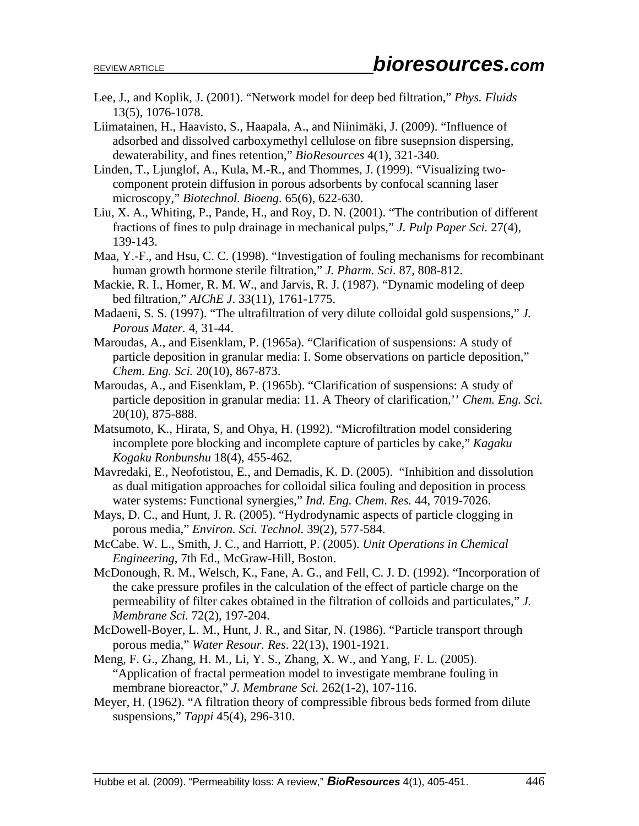Lee, J., and Koplik, J. (2001). "Network model for deep bed filtration," *Phys. Fluids* 13(5), 1076-1078.

Liimatainen, H., Haavisto, S., Haapala, A., and Niinimäki, J. (2009). "Influence of adsorbed and dissolved carboxymethyl cellulose on fibre susepnsion dispersing, dewaterability, and fines retention," *BioResources* 4(1), 321-340.

Linden, T., Ljunglof, A., Kula, M.-R., and Thommes, J. (1999). "Visualizing twocomponent protein diffusion in porous adsorbents by confocal scanning laser microscopy," *Biotechnol. Bioeng*. 65(6), 622-630.

Liu, X. A., Whiting, P., Pande, H., and Roy, D. N. (2001). "The contribution of different fractions of fines to pulp drainage in mechanical pulps," *J. Pulp Paper Sci.* 27(4), 139-143.

Maa, Y.-F., and Hsu, C. C. (1998). "Investigation of fouling mechanisms for recombinant human growth hormone sterile filtration," *J. Pharm. Sci*. 87, 808-812.

Mackie, R. I., Homer, R. M. W., and Jarvis, R. J. (1987). "Dynamic modeling of deep bed filtration," *AIChE J*. 33(11), 1761-1775.

Madaeni, S. S. (1997). "The ultrafiltration of very dilute colloidal gold suspensions," *J. Porous Mater.* 4, 31-44.

Maroudas, A., and Eisenklam, P. (1965a). "Clarification of suspensions: A study of particle deposition in granular media: I. Some observations on particle deposition," *Chem. Eng. Sci.* 20(10), 867-873.

- Maroudas, A., and Eisenklam, P. (1965b). "Clarification of suspensions: A study of particle deposition in granular media: 11. A Theory of clarification,'' *Chem. Eng. Sci.* 20(10), 875-888.
- Matsumoto, K., Hirata, S, and Ohya, H. (1992). "Microfiltration model considering incomplete pore blocking and incomplete capture of particles by cake," *Kagaku Kogaku Ronbunshu* 18(4), 455-462.

Mavredaki, E., Neofotistou, E., and Demadis, K. D. (2005). "Inhibition and dissolution as dual mitigation approaches for colloidal silica fouling and deposition in process water systems: Functional synergies," *Ind. Eng. Chem*. *Res.* 44, 7019-7026.

- Mays, D. C., and Hunt, J. R. (2005). "Hydrodynamic aspects of particle clogging in porous media," *Environ. Sci. Technol.* 39(2), 577-584.
- McCabe. W. L., Smith, J. C., and Harriott, P. (2005). *Unit Operations in Chemical Engineering*, 7th Ed., McGraw-Hill, Boston.
- McDonough, R. M., Welsch, K., Fane, A. G., and Fell, C. J. D. (1992). "Incorporation of the cake pressure profiles in the calculation of the effect of particle charge on the permeability of filter cakes obtained in the filtration of colloids and particulates," *J. Membrane Sci.* 72(2), 197-204.
- McDowell-Boyer, L. M., Hunt, J. R., and Sitar, N. (1986). "Particle transport through porous media," *Water Resour. Res*. 22(13), 1901-1921.
- Meng, F. G., Zhang, H. M., Li, Y. S., Zhang, X. W., and Yang, F. L. (2005). "Application of fractal permeation model to investigate membrane fouling in membrane bioreactor," *J. Membrane Sci.* 262(1-2), 107-116.
- Meyer, H. (1962). "A filtration theory of compressible fibrous beds formed from dilute suspensions," *Tappi* 45(4), 296-310.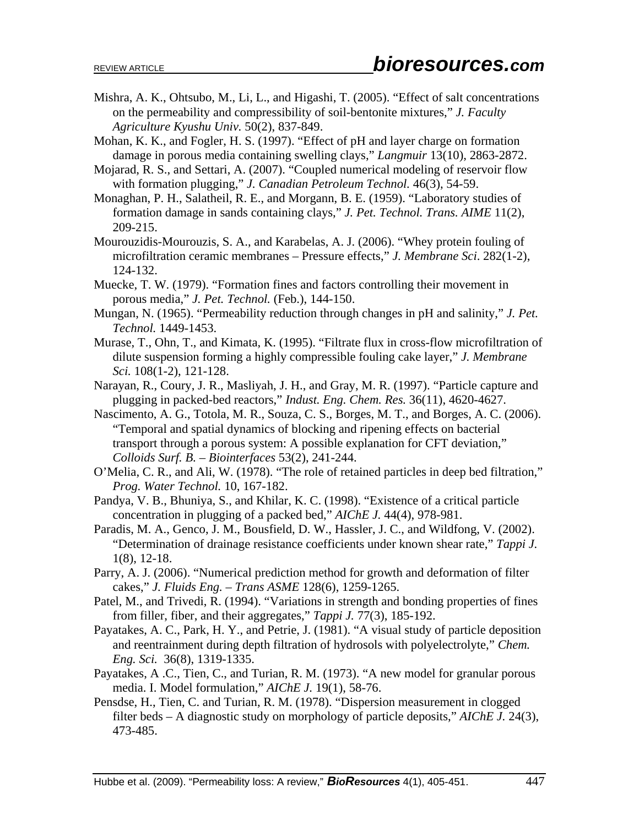- Mishra, A. K., Ohtsubo, M., Li, L., and Higashi, T. (2005). "Effect of salt concentrations on the permeability and compressibility of soil-bentonite mixtures," *J. Faculty Agriculture Kyushu Univ.* 50(2), 837-849.
- Mohan, K. K., and Fogler, H. S. (1997). "Effect of pH and layer charge on formation damage in porous media containing swelling clays," *Langmuir* 13(10), 2863-2872.

Mojarad, R. S., and Settari, A. (2007). "Coupled numerical modeling of reservoir flow with formation plugging," *J. Canadian Petroleum Technol.* 46(3), 54-59.

- Monaghan, P. H., Salatheil, R. E., and Morgann, B. E. (1959). "Laboratory studies of formation damage in sands containing clays," *J. Pet. Technol. Trans. AIME* 11(2), 209-215.
- Mourouzidis-Mourouzis, S. A., and Karabelas, A. J. (2006). "Whey protein fouling of microfiltration ceramic membranes – Pressure effects," *J. Membrane Sci*. 282(1-2), 124-132.
- Muecke, T. W. (1979). "Formation fines and factors controlling their movement in porous media," *J. Pet. Technol.* (Feb.), 144-150.
- Mungan, N. (1965). "Permeability reduction through changes in pH and salinity," *J. Pet. Technol.* 1449-1453.
- Murase, T., Ohn, T., and Kimata, K. (1995). "Filtrate flux in cross-flow microfiltration of dilute suspension forming a highly compressible fouling cake layer," *J. Membrane Sci.* 108(1-2), 121-128.
- Narayan, R., Coury, J. R., Masliyah, J. H., and Gray, M. R. (1997). "Particle capture and plugging in packed-bed reactors," *Indust. Eng. Chem. Res.* 36(11), 4620-4627.
- Nascimento, A. G., Totola, M. R., Souza, C. S., Borges, M. T., and Borges, A. C. (2006). "Temporal and spatial dynamics of blocking and ripening effects on bacterial transport through a porous system: A possible explanation for CFT deviation," *Colloids Surf. B. – Biointerfaces* 53(2), 241-244.
- O'Melia, C. R., and Ali, W. (1978). "The role of retained particles in deep bed filtration," *Prog. Water Technol.* 10, 167-182.
- Pandya, V. B., Bhuniya, S., and Khilar, K. C. (1998). "Existence of a critical particle concentration in plugging of a packed bed," *AIChE J.* 44(4), 978-981.
- Paradis, M. A., Genco, J. M., Bousfield, D. W., Hassler, J. C., and Wildfong, V. (2002). "Determination of drainage resistance coefficients under known shear rate," *Tappi J.* 1(8), 12-18.
- Parry, A. J. (2006). "Numerical prediction method for growth and deformation of filter cakes," *J. Fluids Eng. – Trans ASME* 128(6), 1259-1265.
- Patel, M., and Trivedi, R. (1994). "Variations in strength and bonding properties of fines from filler, fiber, and their aggregates," *Tappi J.* 77(3), 185-192.
- Payatakes, A. C., Park, H. Y., and Petrie, J. (1981). "A visual study of particle deposition and reentrainment during depth filtration of hydrosols with polyelectrolyte," *Chem. Eng. Sci.* 36(8), 1319-1335.
- Payatakes, A .C., Tien, C., and Turian, R. M. (1973). "A new model for granular porous media. I. Model formulation," *AIChE J.* 19(1), 58-76.
- Pensdse, H., Tien, C. and Turian, R. M. (1978). "Dispersion measurement in clogged filter beds – A diagnostic study on morphology of particle deposits," *AIChE J.* 24(3), 473-485.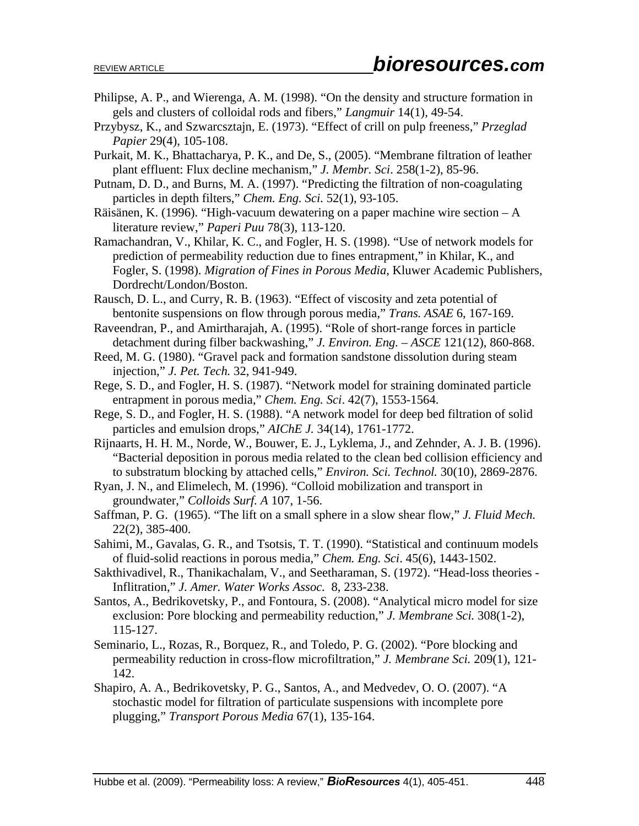- Philipse, A. P., and Wierenga, A. M. (1998). "On the density and structure formation in gels and clusters of colloidal rods and fibers," *Langmuir* 14(1), 49-54.
- Przybysz, K., and Szwarcsztajn, E. (1973). "Effect of crill on pulp freeness," *Przeglad Papier* 29(4), 105-108.
- Purkait, M. K., Bhattacharya, P. K., and De, S., (2005). "Membrane filtration of leather plant effluent: Flux decline mechanism," *J. Membr. Sci*. 258(1-2), 85-96.
- Putnam, D. D., and Burns, M. A. (1997). "Predicting the filtration of non-coagulating particles in depth filters," *Chem. Eng. Sci.* 52(1), 93-105.
- Räisänen, K. (1996). "High-vacuum dewatering on a paper machine wire section A literature review," *Paperi Puu* 78(3), 113-120.
- Ramachandran, V., Khilar, K. C., and Fogler, H. S. (1998). "Use of network models for prediction of permeability reduction due to fines entrapment," in Khilar, K., and Fogler, S. (1998). *Migration of Fines in Porous Media*, Kluwer Academic Publishers, Dordrecht/London/Boston.
- Rausch, D. L., and Curry, R. B. (1963). "Effect of viscosity and zeta potential of bentonite suspensions on flow through porous media," *Trans. ASAE* 6, 167-169.
- Raveendran, P., and Amirtharajah, A. (1995). "Role of short-range forces in particle detachment during filber backwashing," *J. Environ. Eng. – ASCE* 121(12), 860-868.
- Reed, M. G. (1980). "Gravel pack and formation sandstone dissolution during steam injection," *J. Pet. Tech.* 32, 941-949.
- Rege, S. D., and Fogler, H. S. (1987). "Network model for straining dominated particle entrapment in porous media," *Chem. Eng. Sci*. 42(7), 1553-1564.
- Rege, S. D., and Fogler, H. S. (1988). "A network model for deep bed filtration of solid particles and emulsion drops," *AIChE J.* 34(14), 1761-1772.
- Rijnaarts, H. H. M., Norde, W., Bouwer, E. J., Lyklema, J., and Zehnder, A. J. B. (1996). "Bacterial deposition in porous media related to the clean bed collision efficiency and to substratum blocking by attached cells," *Environ. Sci. Technol.* 30(10), 2869-2876.
- Ryan, J. N., and Elimelech, M. (1996). "Colloid mobilization and transport in groundwater," *Colloids Surf. A* 107, 1-56.
- Saffman, P. G. (1965). "The lift on a small sphere in a slow shear flow," *J. Fluid Mech.*  22(2), 385-400.
- Sahimi, M., Gavalas, G. R., and Tsotsis, T. T. (1990). "Statistical and continuum models of fluid-solid reactions in porous media," *Chem. Eng. Sci*. 45(6), 1443-1502.
- Sakthivadivel, R., Thanikachalam, V., and Seetharaman, S. (1972). "Head-loss theories Inflitration," *J. Amer. Water Works Assoc.* 8, 233-238.
- Santos, A., Bedrikovetsky, P., and Fontoura, S. (2008). "Analytical micro model for size exclusion: Pore blocking and permeability reduction," *J. Membrane Sci.* 308(1-2), 115-127.
- Seminario, L., Rozas, R., Borquez, R., and Toledo, P. G. (2002). "Pore blocking and permeability reduction in cross-flow microfiltration," *J. Membrane Sci.* 209(1), 121- 142.
- Shapiro, A. A., Bedrikovetsky, P. G., Santos, A., and Medvedev, O. O. (2007). "A stochastic model for filtration of particulate suspensions with incomplete pore plugging," *Transport Porous Media* 67(1), 135-164.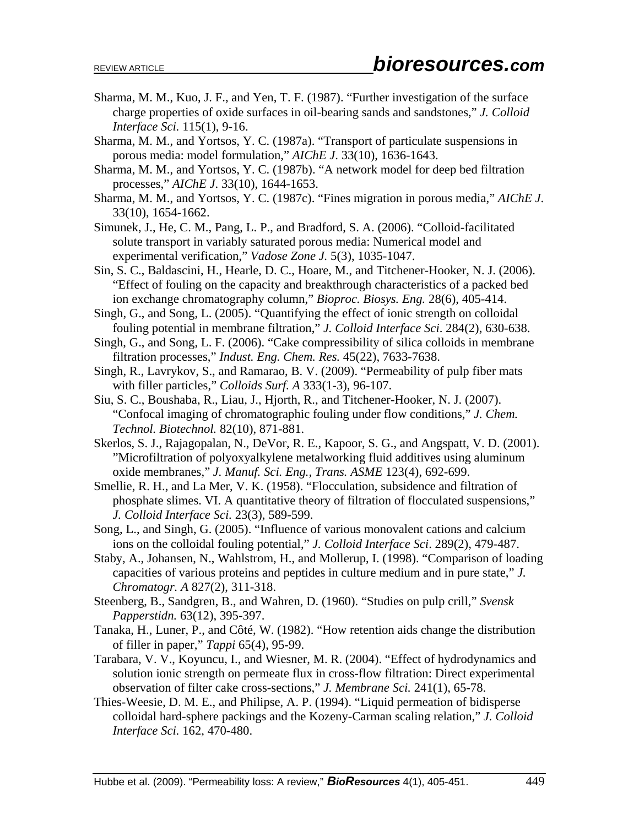- Sharma, M. M., Kuo, J. F., and Yen, T. F. (1987). "Further investigation of the surface charge properties of oxide surfaces in oil-bearing sands and sandstones," *J. Colloid Interface Sci.* 115(1), 9-16.
- Sharma, M. M., and Yortsos, Y. C. (1987a). "Transport of particulate suspensions in porous media: model formulation," *AIChE J*. 33(10), 1636-1643.
- Sharma, M. M., and Yortsos, Y. C. (1987b). "A network model for deep bed filtration processes," *AIChE J*. 33(10), 1644-1653.
- Sharma, M. M., and Yortsos, Y. C. (1987c). "Fines migration in porous media," *AIChE J*. 33(10), 1654-1662.
- Simunek, J., He, C. M., Pang, L. P., and Bradford, S. A. (2006). "Colloid-facilitated solute transport in variably saturated porous media: Numerical model and experimental verification," *Vadose Zone J.* 5(3), 1035-1047.
- Sin, S. C., Baldascini, H., Hearle, D. C., Hoare, M., and Titchener-Hooker, N. J. (2006). "Effect of fouling on the capacity and breakthrough characteristics of a packed bed ion exchange chromatography column," *Bioproc. Biosys. Eng.* 28(6), 405-414.
- Singh, G., and Song, L. (2005). "Quantifying the effect of ionic strength on colloidal fouling potential in membrane filtration," *J. Colloid Interface Sci*. 284(2), 630-638.
- Singh, G., and Song, L. F. (2006). "Cake compressibility of silica colloids in membrane filtration processes," *Indust. Eng. Chem. Res.* 45(22), 7633-7638.
- Singh, R., Lavrykov, S., and Ramarao, B. V. (2009). "Permeability of pulp fiber mats with filler particles," *Colloids Surf. A* 333(1-3), 96-107.
- Siu, S. C., Boushaba, R., Liau, J., Hjorth, R., and Titchener-Hooker, N. J. (2007). "Confocal imaging of chromatographic fouling under flow conditions," *J. Chem. Technol. Biotechnol.* 82(10), 871-881.
- Skerlos, S. J., Rajagopalan, N., DeVor, R. E., Kapoor, S. G., and Angspatt, V. D. (2001). "Microfiltration of polyoxyalkylene metalworking fluid additives using aluminum oxide membranes," *J. Manuf. Sci. Eng., Trans. ASME* 123(4), 692-699.
- Smellie, R. H., and La Mer, V. K. (1958). "Flocculation, subsidence and filtration of phosphate slimes. VI. A quantitative theory of filtration of flocculated suspensions," *J. Colloid Interface Sci.* 23(3), 589-599.
- Song, L., and Singh, G. (2005). "Influence of various monovalent cations and calcium ions on the colloidal fouling potential," *J. Colloid Interface Sci*. 289(2), 479-487.
- Staby, A., Johansen, N., Wahlstrom, H., and Mollerup, I. (1998). "Comparison of loading capacities of various proteins and peptides in culture medium and in pure state," *J. Chromatogr. A* 827(2), 311-318.
- Steenberg, B., Sandgren, B., and Wahren, D. (1960). "Studies on pulp crill," *Svensk Papperstidn.* 63(12), 395-397.
- Tanaka, H., Luner, P., and Côté, W. (1982). "How retention aids change the distribution of filler in paper," *Tappi* 65(4), 95-99.
- Tarabara, V. V., Koyuncu, I., and Wiesner, M. R. (2004). "Effect of hydrodynamics and solution ionic strength on permeate flux in cross-flow filtration: Direct experimental observation of filter cake cross-sections," *J. Membrane Sci.* 241(1), 65-78.
- Thies-Weesie, D. M. E., and Philipse, A. P. (1994). "Liquid permeation of bidisperse colloidal hard-sphere packings and the Kozeny-Carman scaling relation," *J. Colloid Interface Sci.* 162, 470-480.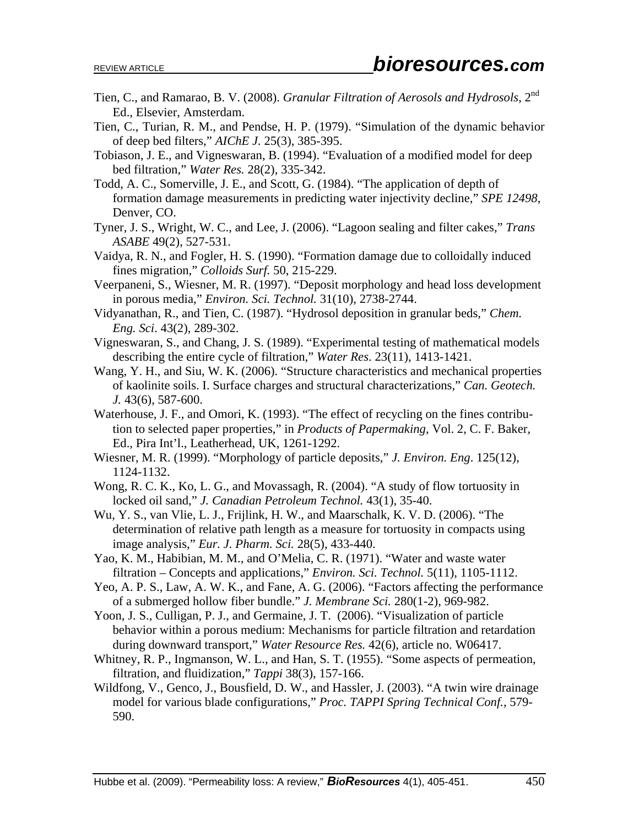- Tien, C., and Ramarao, B. V. (2008). *Granular Filtration of Aerosols and Hydrosols*, 2nd Ed., Elsevier, Amsterdam.
- Tien, C., Turian, R. M., and Pendse, H. P. (1979). "Simulation of the dynamic behavior of deep bed filters," *AIChE J.* 25(3), 385-395.
- Tobiason, J. E., and Vigneswaran, B. (1994). "Evaluation of a modified model for deep bed filtration," *Water Res.* 28(2), 335-342.
- Todd, A. C., Somerville, J. E., and Scott, G. (1984). "The application of depth of formation damage measurements in predicting water injectivity decline," *SPE 12498*, Denver, CO.
- Tyner, J. S., Wright, W. C., and Lee, J. (2006). "Lagoon sealing and filter cakes," *Trans ASABE* 49(2), 527-531.
- Vaidya, R. N., and Fogler, H. S. (1990). "Formation damage due to colloidally induced fines migration," *Colloids Surf.* 50, 215-229.
- Veerpaneni, S., Wiesner, M. R. (1997). "Deposit morphology and head loss development in porous media," *Environ. Sci. Technol.* 31(10), 2738-2744.
- Vidyanathan, R., and Tien, C. (1987). "Hydrosol deposition in granular beds," *Chem. Eng. Sci*. 43(2), 289-302.
- Vigneswaran, S., and Chang, J. S. (1989). "Experimental testing of mathematical models describing the entire cycle of filtration," *Water Res*. 23(11), 1413-1421.
- Wang, Y. H., and Siu, W. K. (2006). "Structure characteristics and mechanical properties of kaolinite soils. I. Surface charges and structural characterizations," *Can. Geotech. J.* 43(6), 587-600.
- Waterhouse, J. F., and Omori, K. (1993). "The effect of recycling on the fines contribution to selected paper properties," in *Products of Papermaking*, Vol. 2, C. F. Baker, Ed., Pira Int'l., Leatherhead, UK, 1261-1292.
- Wiesner, M. R. (1999). "Morphology of particle deposits," *J. Environ. Eng*. 125(12), 1124-1132.
- Wong, R. C. K., Ko, L. G., and Movassagh, R. (2004). "A study of flow tortuosity in locked oil sand," *J. Canadian Petroleum Technol.* 43(1), 35-40.
- Wu, Y. S., van Vlie, L. J., Frijlink, H. W., and Maarschalk, K. V. D. (2006). "The determination of relative path length as a measure for tortuosity in compacts using image analysis," *Eur. J. Pharm. Sci.* 28(5), 433-440.
- Yao, K. M., Habibian, M. M., and O'Melia, C. R. (1971). "Water and waste water filtration – Concepts and applications," *Environ. Sci. Technol.* 5(11), 1105-1112.
- Yeo, A. P. S., Law, A. W. K., and Fane, A. G. (2006). "Factors affecting the performance of a submerged hollow fiber bundle." *J. Membrane Sci.* 280(1-2), 969-982.
- Yoon, J. S., Culligan, P. J., and Germaine, J. T. (2006). "Visualization of particle behavior within a porous medium: Mechanisms for particle filtration and retardation during downward transport," *Water Resource Res.* 42(6), article no. W06417.
- Whitney, R. P., Ingmanson, W. L., and Han, S. T. (1955). "Some aspects of permeation, filtration, and fluidization," *Tappi* 38(3), 157-166.
- Wildfong, V., Genco, J., Bousfield, D. W., and Hassler, J. (2003). "A twin wire drainage model for various blade configurations," *Proc. TAPPI Spring Technical Conf.*, 579- 590.